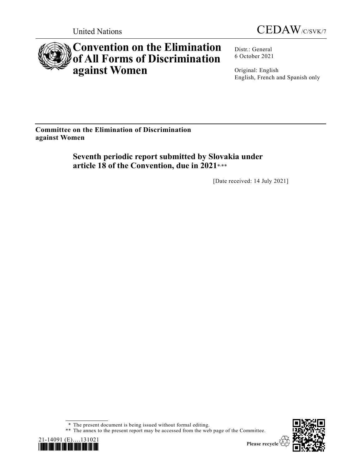



# **Convention on the Elimination of All Forms of Discrimination against Women**

Distr.: General 6 October 2021

Original: English English, French and Spanish only

**Committee on the Elimination of Discrimination against Women**

> **Seventh periodic report submitted by Slovakia under article 18 of the Convention, due in 2021**\* ,\*\*

> > [Date received: 14 July 2021]

\* The present document is being issued without formal editing.

\*\* The annex to the present report may be accessed from the web page of the Committee.



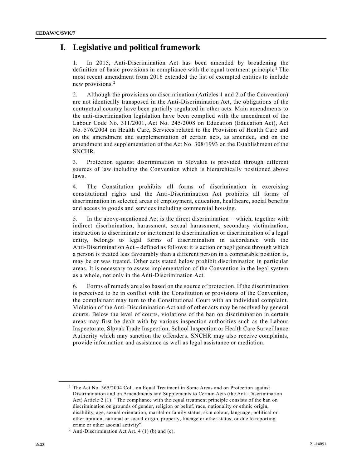# **I. Legislative and political framework**

1. In 2015, Anti-Discrimination Act has been amended by broadening the definition of basic provisions in compliance with the equal treatment principle<sup>1</sup> The most recent amendment from 2016 extended the list of exempted entities to include new provisions.<sup>2</sup>

2. Although the provisions on discrimination (Articles 1 and 2 of the Convention) are not identically transposed in the Anti-Discrimination Act, the obligations of the contractual country have been partially regulated in other acts. Main amendments to the anti-discrimination legislation have been complied with the amendment of the Labour Code No. 311/2001, Act No. 245/2008 on Education (Education Act), Act No. 576/2004 on Health Care, Services related to the Provision of Health Care and on the amendment and supplementation of certain acts, as amended, and on the amendment and supplementation of the Act No. 308/1993 on the Establishment of the SNCHR.

3. Protection against discrimination in Slovakia is provided through different sources of law including the Convention which is hierarchically positioned above laws.

4. The Constitution prohibits all forms of discrimination in exercising constitutional rights and the Anti-Discrimination Act prohibits all forms of discrimination in selected areas of employment, education, healthcare, social benefits and access to goods and services including commercial housing.

5. In the above-mentioned Act is the direct discrimination – which, together with indirect discrimination, harassment, sexual harassment, secondary victimization, instruction to discriminate or incitement to discrimination or discrimination of a legal entity, belongs to legal forms of discrimination in accordance with the Anti-Discrimination Act – defined as follows: it is action or negligence through which a person is treated less favourably than a different person in a comparable position is, may be or was treated. Other acts stated below prohibit discrimination in particular areas. It is necessary to assess implementation of the Convention in the legal system as a whole, not only in the Anti-Discrimination Act.

6. Forms of remedy are also based on the source of protection. If the discrimination is perceived to be in conflict with the Constitution or provisions of the Convention, the complainant may turn to the Constitutional Court with an individual complaint. Violation of the Anti-Discrimination Act and of other acts may be resolved by general courts. Below the level of courts, violations of the ban on discrimination in certain areas may first be dealt with by various inspection authorities such as the Labour Inspectorate, Slovak Trade Inspection, School Inspection or Health Care Surveillance Authority which may sanction the offenders. SNCHR may also receive complaints, provide information and assistance as well as legal assistance or mediation.

<sup>&</sup>lt;sup>1</sup> The Act No. 365/2004 Coll. on Equal Treatment in Some Areas and on Protection against Discrimination and on Amendments and Supplements to Certain Acts (the Anti-Discrimination Act) Article 2 (1): "The compliance with the equal treatment principle consists of the ban on discrimination on grounds of gender, religion or belief, race, nationality or ethnic origin, disability, age, sexual orientation, marital or family status, skin colour, language, political or other opinion, national or social origin, property, lineage or other status, or due to reporting crime or other asocial activity".

 $2$  Anti-Discrimination Act Art. 4 (1) (b) and (c).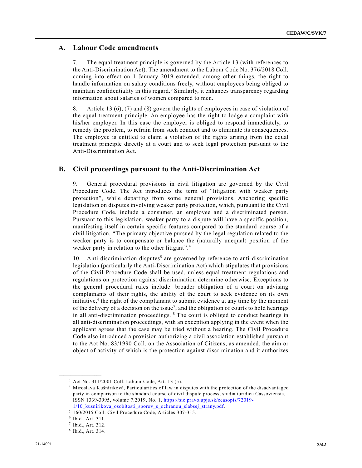### **A. Labour Code amendments**

7. The equal treatment principle is governed by the Article 13 (with references to the Anti-Discrimination Act). The amendment to the Labour Code No. 376/2018 Coll. coming into effect on 1 January 2019 extended, among other things, the right to handle information on salary conditions freely, without employees being obliged to maintain confidentiality in this regard.<sup>3</sup> Similarly, it enhances transparency regarding information about salaries of women compared to men.

8. Article 13 (6), (7) and (8) govern the rights of employees in case of violation of the equal treatment principle. An employee has the right to lodge a complaint with his/her employer. In this case the employer is obliged to respond immediately, to remedy the problem, to refrain from such conduct and to eliminate its consequences. The employee is entitled to claim a violation of the rights arising from the equal treatment principle directly at a court and to seek legal protection pursuant to the Anti-Discrimination Act.

#### **B. Civil proceedings pursuant to the Anti-Discrimination Act**

9. General procedural provisions in civil litigation are governed by the Civil Procedure Code. The Act introduces the term of "litigation with weaker party protection", while departing from some general provisions. Anchoring specific legislation on disputes involving weaker party protection, which, pursuant to the Civil Procedure Code, include a consumer, an employee and a discriminated person. Pursuant to this legislation, weaker party to a dispute will have a specific position, manifesting itself in certain specific features compared to the standard course of a civil litigation. "The primary objective pursued by the legal regulation related to the weaker party is to compensate or balance the (naturally unequal) position of the weaker party in relation to the other litigant".<sup>4</sup>

10. Anti-discrimination disputes<sup>5</sup> are governed by reference to anti-discrimination legislation (particularly the Anti-Discrimination Act) which stipulates that provisions of the Civil Procedure Code shall be used, unless equal treatment regulations and regulations on protection against discrimination determine otherwise. Exceptions to the general procedural rules include: broader obligation of a court on advising complainants of their rights, the ability of the court to seek evidence on its own initiative,<sup>6</sup> the right of the complainant to submit evidence at any time by the moment of the delivery of a decision on the issue<sup>7</sup>, and the obligation of courts to hold hearings in all anti-discrimination proceedings. <sup>8</sup> The court is obliged to conduct hearings in all anti-discrimination proceedings, with an exception applying in the event when the applicant agrees that the case may be tried without a hearing. The Civil Procedure Code also introduced a provision authorizing a civil association established pursuant to the Act No. 83/1990 Coll. on the Association of Citizens, as amended, the aim or object of activity of which is the protection against discrimination and it authorizes

<sup>3</sup> Act No. 311/2001 Coll. Labour Code, Art. 13 (5).

<sup>4</sup> Miroslava Kušníriková, Particularities of law in disputes with the protection of the disadvantaged party in comparison to the standard course of civil dispute process, studia iuridica Cassoviensia, ISSN 1339-3995, volume 7.2019, No. 1, [https://sic.pravo.upjs.sk/ecasopis/72019-](https://sic.pravo.upjs.sk/ecasopis/72019-1/10_kusnirikova_osobitosti_sporov_s_ochranou_slabsej_strany.pdf) [1/10\\_kusnirikova\\_osobitosti\\_sporov\\_s\\_ochranou\\_slabsej\\_strany.pdf.](https://sic.pravo.upjs.sk/ecasopis/72019-1/10_kusnirikova_osobitosti_sporov_s_ochranou_slabsej_strany.pdf)

<sup>5</sup> 160/2015 Coll. Civil Procedure Code, Articles 307-315.

<sup>6</sup> Ibid., Art. 311.

<sup>7</sup> Ibid., Art. 312.

<sup>8</sup> Ibid., Art. 314.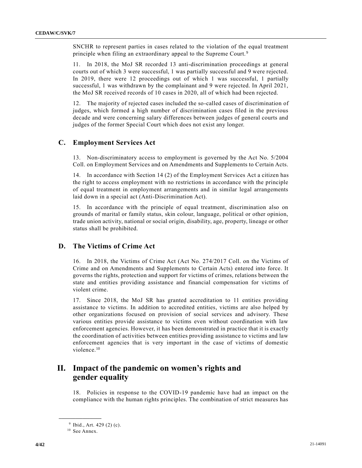SNCHR to represent parties in cases related to the violation of the equal treatment principle when filing an extraordinary appeal to the Supreme Court.<sup>9</sup>

11. In 2018, the MoJ SR recorded 13 anti-discrimination proceedings at general courts out of which 3 were successful, 1 was partially successful and 9 were rejected. In 2019, there were 12 proceedings out of which 1 was successful, 1 partially successful, 1 was withdrawn by the complainant and 9 were rejected. In April 2021, the MoJ SR received records of 10 cases in 2020, all of which had been rejected.

12. The majority of rejected cases included the so-called cases of discrimination of judges, which formed a high number of discrimination cases filed in the previous decade and were concerning salary differences between judges of general courts and judges of the former Special Court which does not exist any longer.

### **C. Employment Services Act**

13. Non-discriminatory access to employment is governed by the Act No. 5/2004 Coll. on Employment Services and on Amendments and Supplements to Certain Acts.

14. In accordance with Section 14 (2) of the Employment Services Act a citizen has the right to access employment with no restrictions in accordance with the principle of equal treatment in employment arrangements and in similar legal arrangements laid down in a special act (Anti-Discrimination Act).

15. In accordance with the principle of equal treatment, discrimination also on grounds of marital or family status, skin colour, language, political or other opinion, trade union activity, national or social origin, disability, age, property, lineage or other status shall be prohibited.

### **D. The Victims of Crime Act**

16. In 2018, the Victims of Crime Act (Act No. 274/2017 Coll. on the Victims of Crime and on Amendments and Supplements to Certain Acts) entered into force. It governs the rights, protection and support for victims of crimes, relations between the state and entities providing assistance and financial compensation for victims of violent crime.

17. Since 2018, the MoJ SR has granted accreditation to 11 entities providing assistance to victims. In addition to accredited entities, victims are also helped by other organizations focused on provision of social services and advisory. These various entities provide assistance to victims even without coordination with law enforcement agencies. However, it has been demonstrated in practice that it is exactly the coordination of activities between entities providing assistance to victims and law enforcement agencies that is very important in the case of victims of domestic violence.<sup>10</sup>

# **II. Impact of the pandemic on women's rights and gender equality**

18. Policies in response to the COVID-19 pandemic have had an impact on the compliance with the human rights principles. The combination of strict measures has

<sup>&</sup>lt;sup>9</sup> Ibid., Art. 429 (2) (c).

<sup>&</sup>lt;sup>10</sup> See Annex.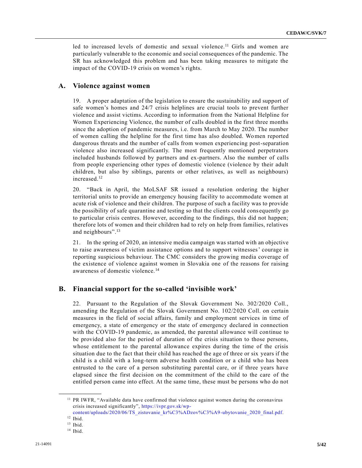led to increased levels of domestic and sexual violence.<sup>11</sup> Girls and women are particularly vulnerable to the economic and social consequences of the pandemic. The SR has acknowledged this problem and has been taking measures to mitigate the impact of the COVID-19 crisis on women's rights.

#### **A. Violence against women**

19. A proper adaptation of the legislation to ensure the sustainability and support of safe women's homes and 24/7 crisis helplines are crucial tools to prevent further violence and assist victims. According to information from the National Helpline for Women Experiencing Violence, the number of calls doubled in the first three months since the adoption of pandemic measures, i.e. from March to May 2020. The number of women calling the helpline for the first time has also doubled. Women reported dangerous threats and the number of calls from women experiencing post-separation violence also increased significantly. The most frequently mentioned perpetrators included husbands followed by partners and ex-partners. Also the number of calls from people experiencing other types of domestic violence (violence by their adult children, but also by siblings, parents or other relatives, as well as neighbours) increased.<sup>12</sup>

20. "Back in April, the MoLSAF SR issued a resolution ordering the higher territorial units to provide an emergency housing facility to accommodate women at acute risk of violence and their children. The purpose of such a facility was to provide the possibility of safe quarantine and testing so that the clients could cons equently go to particular crisis centres. However, according to the findings, this did not happen; therefore lots of women and their children had to rely on help from families, relatives and neighbours". 13

21. In the spring of 2020, an intensive media campaign was started with an objective to raise awareness of victim assistance options and to support witnesses' courage in reporting suspicious behaviour. The CMC considers the growing media coverage of the existence of violence against women in Slovakia one of the reasons for raising awareness of domestic violence.<sup>14</sup>

#### **B. Financial support for the so-called 'invisible work'**

22. Pursuant to the Regulation of the Slovak Government No. 302/2020 Coll., amending the Regulation of the Slovak Government No. 102/2020 Coll. on certain measures in the field of social affairs, family and employment services in time of emergency, a state of emergency or the state of emergency declared in connection with the COVID-19 pandemic, as amended, the parental allowance will continue to be provided also for the period of duration of the crisis situation to those persons, whose entitlement to the parental allowance expires during the time of the crisis situation due to the fact that their child has reached the age of three or six years if the child is a child with a long-term adverse health condition or a child who has been entrusted to the care of a person substituting parental care, or if three years have elapsed since the first decision on the commitment of the child to the care of the entitled person came into effect. At the same time, these must be persons who do not

<sup>&</sup>lt;sup>11</sup> PR IWFR, "Available data have confirmed that violence against women during the coronavirus crisis increased significantly", [https://ivpr.gov.sk/wp-](https://ivpr.gov.sk/wp-content/uploads/2020/06/TS_zistovanie_kr%C3%ADzov%C3%A9-ubytovanie_2020_final.pdf)

[content/uploads/2020/06/TS\\_zistovanie\\_kr%C3%ADzov%C3%A9-ubytovanie\\_2020\\_final.pdf.](https://ivpr.gov.sk/wp-content/uploads/2020/06/TS_zistovanie_kr%C3%ADzov%C3%A9-ubytovanie_2020_final.pdf) <sup>12</sup> Ibid.

 $13$  Ibid.

<sup>14</sup> Ibid.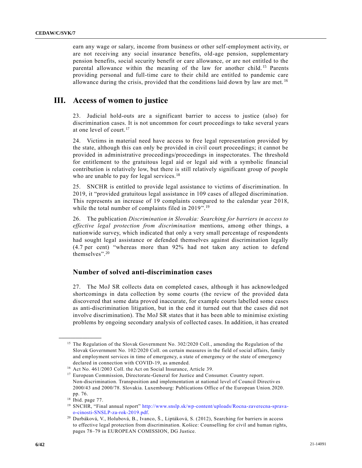earn any wage or salary, income from business or other self-employment activity, or are not receiving any social insurance benefits, old-age pension, supplementary pension benefits, social security benefit or care allowance, or are not entitled to the parental allowance within the meaning of the law for another child. <sup>15</sup> Parents providing personal and full-time care to their child are entitled to pandemic care allowance during the crisis, provided that the conditions laid down by law are met.  $^{16}$ 

# **III. Access of women to justice**

23. Judicial hold-outs are a significant barrier to access to justice (also) for discrimination cases. It is not uncommon for court proceedings to take several years at one level of court.<sup>17</sup>

24. Victims in material need have access to free legal representation provided by the state, although this can only be provided in civil court proceedings; it cannot be provided in administrative proceedings/proceedings in inspectorates. The threshold for entitlement to the gratuitous legal aid or legal aid with a symbolic financial contribution is relatively low, but there is still relatively significant group of people who are unable to pay for legal services.<sup>18</sup>

25. SNCHR is entitled to provide legal assistance to victims of discrimination. In 2019, it "provided gratuitous legal assistance in 109 cases of alleged discrimination. This represents an increase of 19 complaints compared to the calendar year 2 018, while the total number of complaints filed in 2019".<sup>19</sup>

26. The publication *Discrimination in Slovakia: Searching for barriers in access to effective legal protection from discrimination* mentions, among other things, a nationwide survey, which indicated that only a very small percentage of respondents had sought legal assistance or defended themselves against discrimination legally (4.7 per cent) "whereas more than 92% had not taken any action to defend themselves". 20

#### **Number of solved anti-discrimination cases**

27. The MoJ SR collects data on completed cases, although it has acknowledged shortcomings in data collection by some courts (the review of the provided data discovered that some data proved inaccurate, for example courts labelled some cases as anti-discrimination litigation, but in the end it turned out that the cases did not involve discrimination). The MoJ SR states that it has been able to minimise existing problems by ongoing secondary analysis of collected cases. In addition, it has created

<sup>&</sup>lt;sup>15</sup> The Regulation of the Slovak Government No. 302/2020 Coll., amending the Regulation of the Slovak Government No. 102/2020 Coll. on certain measures in the field of social affairs, family and employment services in time of emergency, a state of emergency or the state of emergency declared in connection with COVID-19, as amended.

<sup>16</sup> Act No. 461/2003 Coll. the Act on Social Insurance, Article 39.

<sup>&</sup>lt;sup>17</sup> European Commission, Directorate-General for Justice and Consumer. Country report. Non-discrimination. Transposition and implementation at national level of Council Directiv es 2000/43 and 2000/78. Slovakia. Luxembourg: Publications Office of the European Union.2020. pp. 76.

<sup>18</sup> Ibid. page 77.

<sup>19</sup> SNCHR, "Final annual report" [http://www.snslp.sk/wp-content/uploads/Rocna-zaverecna-sprava](http://www.snslp.sk/wp-content/uploads/Rocna-zaverecna-sprava-o-cinosti-SNSLP-za-rok-2019.pdf)[o-cinosti-SNSLP-za-rok-2019.pdf.](http://www.snslp.sk/wp-content/uploads/Rocna-zaverecna-sprava-o-cinosti-SNSLP-za-rok-2019.pdf)

<sup>20</sup> Durbáková, V., Holubová, B., Ivanco, Š., Liptáková, S. (2012), Searching for barriers in access to effective legal protection from discrimination. Košice: Counselling for civil and human rights, pages 78–79 in EUROPEAN COMISSION, DG Justice.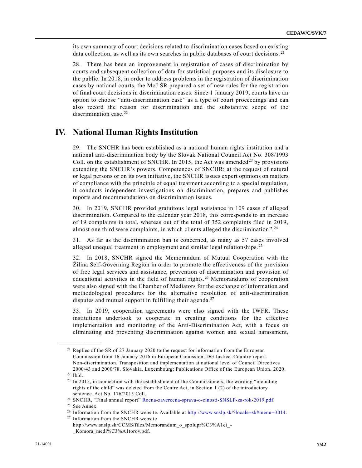its own summary of court decisions related to discrimination cases based on existing data collection, as well as its own searches in public databases of court decisions.<sup>21</sup>

28. There has been an improvement in registration of cases of discrimination by courts and subsequent collection of data for statistical purposes and its disclosure to the public. In 2018, in order to address problems in the registration of discrimination cases by national courts, the MoJ SR prepared a set of new rules for the registration of final court decisions in discrimination cases. Since 1 January 2019, courts have an option to choose "anti-discrimination case" as a type of court proceedings and can also record the reason for discrimination and the substantive scope of the discrimination case. $22$ 

# **IV. National Human Rights Institution**

29. The SNCHR has been established as a national human rights institution and a national anti-discrimination body by the Slovak National Council Act No. 308/1993 Coll. on the establishment of SNCHR. In 2015, the Act was amended<sup>23</sup> by provisions extending the SNCHR's powers. Competences of SNCHR: at the request of natural or legal persons or on its own initiative, the SNCHR issues expert opinions on matters of compliance with the principle of equal treatment according to a special regulation, it conducts independent investigations on discrimination, prepares and publishes reports and recommendations on discrimination issues.

30. In 2019, SNCHR provided gratuitous legal assistance in 109 cases of alleged discrimination. Compared to the calendar year 2018, this corresponds to an increase of 19 complaints in total, whereas out of the total of 352 complaints filed in 2019, almost one third were complaints, in which clients alleged the discrimination".<sup>24</sup>

31. As far as the discrimination ban is concerned, as many as 57 cases involved alleged unequal treatment in employment and similar legal relationships.<sup>25</sup>

32. In 2018, SNCHR signed the Memorandum of Mutual Cooperation with the Žilina Self-Governing Region in order to promote the effectiveness of the provision of free legal services and assistance, prevention of discrimination and provision of educational activities in the field of human rights.<sup>26</sup> Memorandums of cooperation were also signed with the Chamber of Mediators for the exchange of information and methodological procedures for the alternative resolution of anti-discrimination disputes and mutual support in fulfilling their agenda.<sup>27</sup>

33. In 2019, cooperation agreements were also signed with the IWFR. These institutions undertook to cooperate in creating conditions for the effective implementation and monitoring of the Anti-Discrimination Act, with a focus on eliminating and preventing discrimination against women and sexual harassment,

<sup>&</sup>lt;sup>21</sup> Replies of the SR of 27 January 2020 to the request for information from the European Commission from 16 January 2016 in European Comission, DG Justice. Country report. Non-discrimination. Transposition and implementation at national level of Council Directives 2000/43 and 2000/78. Slovakia. Luxembourg: Publications Office of the European Union. 2020.

<sup>22</sup> Ibid.

<sup>&</sup>lt;sup>23</sup> In 2015, in connection with the establishment of the Commissioners, the wording "including rights of the child" was deleted from the Centre Act, in Section 1 (2) of the introductory sentence. Act No. 176/2015 Coll.

<sup>24</sup> SNCHR, "Final annual report" [Rocna-zaverecna-sprava-o-cinosti-SNSLP-za-rok-2019.pdf.](http://www.snslp.sk/wp-content/uploads/Rocna-zaverecna-sprava-o-cinosti-SNSLP-za-rok-2019.pdf)

<sup>&</sup>lt;sup>25</sup> See Annex.

<sup>&</sup>lt;sup>26</sup> Information from the SNCHR website. Available at [http://www.snslp.sk/?locale=sk#menu=3014.](http://www.snslp.sk/?locale=sk#menu=3014)

<sup>&</sup>lt;sup>27</sup> Information from the SNCHR website http://www.snslp.sk/CCMS/files/Memorandum\_o\_spolupr%C3%A1ci\_-

\_Komora\_medi%C3%A1torov.pdf.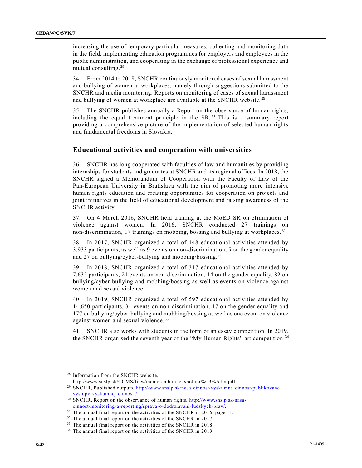increasing the use of temporary particular measures, collecting and monitoring data in the field, implementing education programmes for employers and employees in the public administration, and cooperating in the exchange of professional experience and mutual consulting.<sup>28</sup>

34. From 2014 to 2018, SNCHR continuously monitored cases of sexual harassment and bullying of women at workplaces, namely through suggestions submitted to the SNCHR and media monitoring. Reports on monitoring of cases of sexual harassment and bullying of women at workplace are available at the SNCHR website.<sup>29</sup>

35. The SNCHR publishes annually a Report on the observance of human rights, including the equal treatment principle in the SR. <sup>30</sup> This is a summary report providing a comprehensive picture of the implementation of selected human rights and fundamental freedoms in Slovakia.

#### **Educational activities and cooperation with universities**

36. SNCHR has long cooperated with faculties of law and humanities by providing internships for students and graduates at SNCHR and its regional offices. In 2018, the SNCHR signed a Memorandum of Cooperation with the Faculty of Law of the Pan-European University in Bratislava with the aim of promoting more intensive human rights education and creating opportunities for cooperation on projects and joint initiatives in the field of educational development and raising awareness of the SNCHR activity.

37. On 4 March 2016, SNCHR held training at the MoED SR on elimination of violence against women. In 2016, SNCHR conducted 27 trainings on non-discrimination, 17 trainings on mobbing, bossing and bullying at workplaces. <sup>31</sup>

38. In 2017, SNCHR organized a total of 148 educational activities attended by 3,933 participants, as well as 9 events on non-discrimination, 5 on the gender equality and 27 on bullying/cyber-bullying and mobbing/bossing.<sup>32</sup>

39. In 2018, SNCHR organized a total of 317 educational activities attended by 7,635 participants, 21 events on non-discrimination, 14 on the gender equality, 82 on bullying/cyber-bullying and mobbing/bossing as well as events on violence against women and sexual violence.

40. In 2019, SNCHR organized a total of 597 educational activities attended by 14,650 participants, 31 events on non-discrimination, 17 on the gender equality and 177 on bullying/cyber-bullying and mobbing/bossing as well as one event on violence against women and sexual violence.<sup>33</sup>

41. SNCHR also works with students in the form of an essay competition. In 2019, the SNCHR organised the seventh year of the "My Human Rights" art competition.<sup>34</sup>

<sup>&</sup>lt;sup>28</sup> Information from the SNCHR website,

http://www.snslp.sk/CCMS/files/memorandum\_o\_spolupr%C3%A1ci.pdf.

<sup>29</sup> SNCHR, Published outputs, [http://www.snslp.sk/nasa-cinnost/vyskumna-cinnost/publikovane](http://www.snslp.sk/nasa-cinnost/vyskumna-cinnost/publikovane-vystupy-vyskumnej-cinnosti/)[vystupy-vyskumnej-cinnosti/.](http://www.snslp.sk/nasa-cinnost/vyskumna-cinnost/publikovane-vystupy-vyskumnej-cinnosti/)

<sup>30</sup> SNCHR, Report on the observance of human rights, [http://www.snslp.sk/nasa](http://www.snslp.sk/nasa-cinnost/monitoring-a-reporting/sprava-o-dodrziavani-ludskych-prav/)[cinnost/monitoring-a-reporting/sprava-o-dodrziavani-ludskych-prav/.](http://www.snslp.sk/nasa-cinnost/monitoring-a-reporting/sprava-o-dodrziavani-ludskych-prav/)

<sup>&</sup>lt;sup>31</sup> The annual final report on the activities of the SNCHR in 2016, page 11.

<sup>&</sup>lt;sup>32</sup> The annual final report on the activities of the SNCHR in 2017.

<sup>&</sup>lt;sup>33</sup> The annual final report on the activities of the SNCHR in 2018.

<sup>&</sup>lt;sup>34</sup> The annual final report on the activities of the SNCHR in 2019.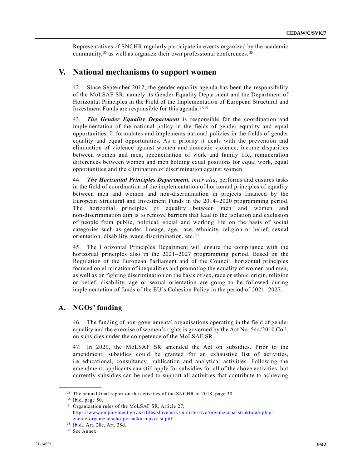Representatives of SNCHR regularly participate in events organized by the academic community,  $35$  as well as organize their own professional conferences.  $36$ 

### **V. National mechanisms to support women**

42. Since September 2012, the gender equality agenda has been the responsibility of the MoLSAF SR, namely its Gender Equality Department and the Department of Horizontal Principles in the Field of the Implementation of European Structural and Investment Funds are responsible for this agenda. 37,38

43. *The Gender Equality Department* is responsible for the coordination and implementation of the national policy in the fields of gender equality and equal opportunities. It formulates and implements national policies in the fields of gender equality and equal opportunities. As a priority it deals with the prevention and elimination of violence against women and domestic violence, income disparities between women and men, reconciliation of work and family life, remuneration differences between women and men holding equal positions for equal work, equal opportunities and the elimination of discrimination against women.

44. *The Horizontal Principles Department, inter alia*, performs and ensures tasks in the field of coordination of the implementation of horizontal principles of equality between men and women and non-discrimination in projects financed by the European Structural and Investment Funds in the 2014–2020 programming period. The horizontal principles of equality between men and women and non-discrimination aim is to remove barriers that lead to the isolation and exclusion of people from public, political, social and working life on the basis of social categories such as gender, lineage, age, race, ethnicity, religion or belief, sexual orientation, disability, wage discrimination, etc.<sup>39</sup>

45. The Horizontal Principles Department will ensure the compliance with the horizontal principles also in the 2021–2027 programming period. Based on the Regulation of the European Parliament and of the Council, horizontal principles focused on elimination of inequalities and promoting the equality of women and men, as well as on fighting discrimination on the basis of sex, race or ethnic origin, religion or belief, disability, age or sexual orientation are going to be followed during implementation of funds of the EU´s Cohesion Policy in the period of 2021 –2027.

### **A. NGOs' funding**

46. The funding of non-governmental organisations operating in the field of gender equality and the exercise of women's rights is governed by the Act No. 544/2010 Coll. on subsidies under the competence of the MoLSAF SR.

47. In 2020, the MoLSAF SR amended the Act on subsidies. Prior to the amendment, subsidies could be granted for an exhaustive list of activities, i.e. educational, consultancy, publication and analytical activities. Following the amendment, applicants can still apply for subsidies for all of the above activities, but currently subsidies can be used to support all activities that contribute to achieving

<sup>&</sup>lt;sup>35</sup> The annual final report on the activities of the SNCHR in 2018, page 30.

<sup>36</sup> Ibid. page 50.

<sup>37</sup> Organization rules of the MoLSAF SR, Article 27, [https://www.employment.gov.sk/files/slovensky/ministerstvo/organizacna-struktura/uplne](https://www.employment.gov.sk/files/slovensky/ministerstvo/organizacna-struktura/uplne-znenie-organizacneho-poriadku-mpsvr-sr.pdf)[znenie-organizacneho-poriadku-mpsvr-sr.pdf.](https://www.employment.gov.sk/files/slovensky/ministerstvo/organizacna-struktura/uplne-znenie-organizacneho-poriadku-mpsvr-sr.pdf)

<sup>38</sup> Ibid., Art. 28c, Art. 28d.

<sup>&</sup>lt;sup>39</sup> See Annex.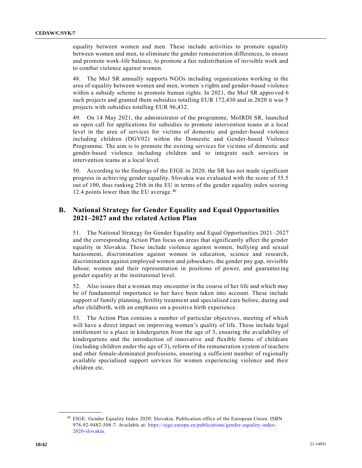equality between women and men. These include activities to promote equality between women and men, to eliminate the gender remuneration differences, to ensure and promote work-life balance, to promote a fair redistribution of invisible work and to combat violence against women.

48. The MoJ SR annually supports NGOs including organizations working in the area of equality between women and men, women´s rights and gender-based violence within a subsidy scheme to promote human rights. In 2021, the MoJ SR approved 6 such projects and granted them subsidies totalling EUR 172,430 and in 2020 it was 5 projects with subsidies totalling EUR 96,432.

49. On 14 May 2021, the administrator of the programme, MoIRDI SR, launched an open call for applications for subsidies to promote intervention teams at a local level in the area of services for victims of domestic and gender-based violence including children (DGV02) within the Domestic and Gender-based Violence Programme. The aim is to promote the existing services for vic tims of domestic and gender-based violence including children and to integrate such services in intervention teams at a local level.

50. According to the findings of the EIGE in 2020, the SR has not made significant progress in achieving gender equality. Slovakia was evaluated with the score of 55.5 out of 100, thus ranking 25th in the EU in terms of the gender equality index scoring 12.4 points lower than the EU average.<sup>40</sup>

### **B. National Strategy for Gender Equality and Equal Opportunities 2021–2027 and the related Action Plan**

51. The National Strategy for Gender Equality and Equal Opportunities 2021 –2027 and the corresponding Action Plan focus on areas that significantly affect the gender equality in Slovakia. These include violence against women, bullying and sexual harassment, discrimination against women in education, science and research, discrimination against employed women and jobseekers, the gender pay gap, invisible labour, women and their representation in positions of power, and guaranteeing gender equality at the institutional level.

52. Also issues that a woman may encounter in the course of her life and which may be of fundamental importance to her have been taken into account. These include support of family planning, fertility treatment and specialised care before, during and after childbirth, with an emphasis on a positive birth experience.

53. The Action Plan contains a number of particular objectives, meeting of which will have a direct impact on improving women's quality of life. These include legal entitlement to a place in kindergarten from the age of 3, ensuring the availability of kindergartens and the introduction of innovative and flexible forms of childcare (including children under the age of 3), reform of the remuneration system of teachers and other female-dominated professions, ensuring a sufficient number of regionally available specialised support services for women experiencing violence and their children etc.

<sup>40</sup> EIGE: Gender Equality Index 2020: Slovakia. Publication office of the European Union. ISBN 978-92-9482-508-7. Available at: [https://eige.europa.eu/publications/gender-equality-index-](https://eige.europa.eu/publications/gender-equality-index-2020-slovakia)[2020-slovakia.](https://eige.europa.eu/publications/gender-equality-index-2020-slovakia)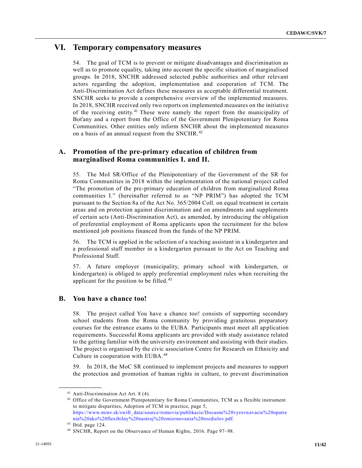## **VI. Temporary compensatory measures**

54. The goal of TCM is to prevent or mitigate disadvantages and discrimination as well as to promote equality, taking into account the specific situation of marginalised groups. In 2018, SNCHR addressed selected public authorities and other relevant actors regarding the adoption, implementation and cooperation of TCM. The Anti-Discrimination Act defines these measures as acceptable differential treatment. SNCHR seeks to provide a comprehensive overview of the implemented measures. In 2018, SNCHR received only two reports on implemented measures on the initiative of the receiving entity.<sup>41</sup> These were namely the report from the municipality of Boťany and a report from the Office of the Government Plenipotentiary for Roma Communities. Other entities only inform SNCHR about the implemented measures on a basis of an annual request from the SNCHR.<sup>42</sup>

### **A. Promotion of the pre-primary education of children from marginalised Roma communities I. and II.**

55. The MoI SR/Office of the Plenipotentiary of the Government of the SR for Roma Communities in 2018 within the implementation of the national project called "The promotion of the pre-primary education of children from marginalized Roma communities I." (hereinafter referred to as "NP PRIM") has adopted the TCM pursuant to the Section 8a of the Act No. 365/2004 Coll. on equal treatment in certain areas and on protection against discrimination and on amendments and supplements of certain acts (Anti-Discrimination Act), as amended, by introducing the obligation of preferential employment of Roma applicants upon the recruitment for the below mentioned job positions financed from the funds of the NP PRIM.

56. The TCM is applied in the selection of a teaching assistant in a kindergarten and a professional staff member in a kindergarten pursuant to the Act on Teaching and Professional Staff.

57. A future employer (municipality, primary school with kindergarten, or kindergarten) is obliged to apply preferential employment rules when recruiting the applicant for the position to be filled. <sup>43</sup>

#### **B. You have a chance too!**

58. The project called You have a chance too! consists of supporting secondary school students from the Roma community by providing gratuitous preparatory courses for the entrance exams to the EUBA. Participants must meet all ap plication requirements. Successful Roma applicants are provided with study assistance related to the getting familiar with the university environment and assisting with their studies. The project is organised by the civic association Centre for Research on Ethnicity and Culture in cooperation with EUBA.<sup>44</sup>

59. In 2018, the MoC SR continued to implement projects and measures to support the protection and promotion of human rights in culture, to prevent discrimination

<sup>&</sup>lt;sup>41</sup> Anti-Discrimination Act Art. 8 (4).

<sup>&</sup>lt;sup>42</sup> Office of the Government Plenipotentiary for Roma Communities, TCM as a flexible instrument to mitigate disparities, Adoption of TCM in practice, page 5, [https://www.minv.sk/swift\\_data/source/romovia/publikacie/Docasne%20vyrovn](https://www.minv.sk/swift_data/source/romovia/publikacie/Docasne%20vyrovnavacie%20opatrenia%20ako%20flexibilny%20nastroj%20zmiernovania%20rozdielov.pdf) avacie%20opatre [nia%20ako%20flexibilny%20nastroj%20zmiernovania%20rozdielov.pdf.](https://www.minv.sk/swift_data/source/romovia/publikacie/Docasne%20vyrovnavacie%20opatrenia%20ako%20flexibilny%20nastroj%20zmiernovania%20rozdielov.pdf)

<sup>43</sup> Ibid. page 124.

<sup>44</sup> SNCHR, Report on the Observance of Human Rights, 2016. Page 97–98.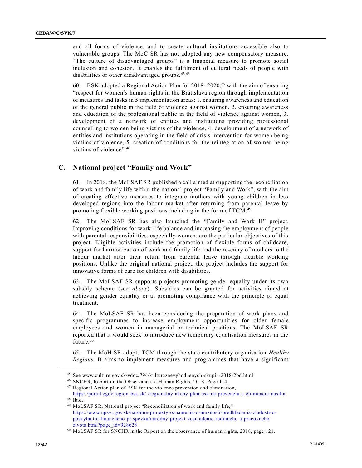and all forms of violence, and to create cultural institutions accessible also to vulnerable groups. The MoC SR has not adopted any new compensatory measure. "The culture of disadvantaged groups" is a financial measure to promote social inclusion and cohesion. It enables the fulfilment of cultural needs of people with disabilities or other disadvantaged groups. 45,46

60. BSK adopted a Regional Action Plan for  $2018-2020$ ,<sup>47</sup> with the aim of ensuring "respect for women's human rights in the Bratislava region through implementation of measures and tasks in 5 implementation areas: 1. ensuring awareness and education of the general public in the field of violence against women, 2. ensuring awareness and education of the professional public in the field of violence against women, 3. development of a network of entities and institutions providing professional counselling to women being victims of the violence, 4. development of a network of entities and institutions operating in the field of crisis intervention for women being victims of violence, 5. creation of conditions for the reintegration of women being victims of violence". 48

#### **C. National project "Family and Work"**

61. In 2018, the MoLSAF SR published a call aimed at supporting the reconciliation of work and family life within the national project "Family and Work", with the aim of creating effective measures to integrate mothers with young children in less developed regions into the labour market after returning from parental leave by promoting flexible working positions including in the form of TCM.<sup>49</sup>

62. The MoLSAF SR has also launched the "Family and Work II" project. Improving conditions for work-life balance and increasing the employment of people with parental responsibilities, especially women, are the particular objectives of this project. Eligible activities include the promotion of flexible forms of childcare, support for harmonization of work and family life and the re-entry of mothers to the labour market after their return from parental leave through flexible working positions. Unlike the original national project, the project includes the support for innovative forms of care for children with disabilities.

63. The MoLSAF SR supports projects promoting gender equality under its own subsidy scheme (see *above*). Subsidies can be granted for activities aimed at achieving gender equality or at promoting compliance with the principle of equal treatment.

64. The MoLSAF SR has been considering the preparation of work plans and specific programmes to increase employment opportunities for older female employees and women in managerial or technical positions. The MoLSAF SR reported that it would seek to introduce new temporary equalisation measures in the future.<sup>50</sup>

65. The MoH SR adopts TCM through the state contributory organisation *Healthy Regions*. It aims to implement measures and programmes that have a significant

<sup>45</sup> See www.culture.gov.sk/vdoc/794/kulturaznevyhodnenych-skupin-2018-2bd.html.

<sup>46</sup> SNCHR, Report on the Observance of Human Rights, 2018. Page 114.

<sup>47</sup> Regional Action plan of BSK for the violence prevention and elimination,

[https://portal.egov.region-bsk.sk/-/regionalny-akcny-plan-bsk-na-prevenciu-a-eliminaciu-nasilia.](https://portal.egov.region-bsk.sk/-/regionalny-akcny-plan-bsk-na-prevenciu-a-eliminaciu-nasilia) <sup>48</sup> Ibid.

<sup>49</sup> MoLSAF SR, National project "Reconciliation of work and family life," [https://www.upsvr.gov.sk/narodne-projekty-oznamenia-o-moznosti-predkladania-ziadosti-o](https://www.upsvr.gov.sk/narodne-projekty-oznamenia-o-moznosti-predkladania-ziadosti-o-poskytnutie-financneho-prispevku/narodny-projekt-zosuladenie-rodinneho-a-pracovneho-zivota.html?page_id=928628)[poskytnutie-financneho-prispevku/narodny-projekt-zosuladenie-rodinneho-a-pracovneho](https://www.upsvr.gov.sk/narodne-projekty-oznamenia-o-moznosti-predkladania-ziadosti-o-poskytnutie-financneho-prispevku/narodny-projekt-zosuladenie-rodinneho-a-pracovneho-zivota.html?page_id=928628)[zivota.html?page\\_id=928628.](https://www.upsvr.gov.sk/narodne-projekty-oznamenia-o-moznosti-predkladania-ziadosti-o-poskytnutie-financneho-prispevku/narodny-projekt-zosuladenie-rodinneho-a-pracovneho-zivota.html?page_id=928628)

<sup>50</sup> MoLSAF SR for SNCHR in the Report on the observance of human rights, 2018, page 121.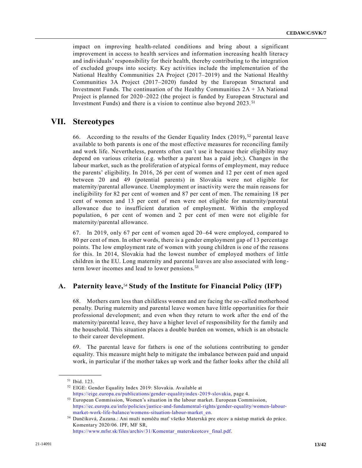impact on improving health-related conditions and bring about a significant improvement in access to health services and information increasing health literacy and individuals' responsibility for their health, thereby contributing to the integration of excluded groups into society. Key activities include the implementation of the National Healthy Communities 2A Project (2017–2019) and the National Healthy Communities 3A Project (2017–2020) funded by the European Structural and Investment Funds. The continuation of the Healthy Communities  $2A + 3A$  National Project is planned for 2020–2022 (the project is funded by European Structural and Investment Funds) and there is a vision to continue also beyond 2023. <sup>51</sup>

# **VII. Stereotypes**

66. According to the results of the Gender Equality Index (2019),  $52$  parental leave available to both parents is one of the most effective measures for reconciling family and work life. Nevertheless, parents often can´t use it because their eligibility may depend on various criteria (e.g. whether a parent has a paid job;). Changes in the labour market, such as the proliferation of atypical forms of employment, may reduce the parents' eligibility. In 2016, 26 per cent of women and 12 per cent of men aged between 20 and 49 (potential parents) in Slovakia were not eligible for maternity/parental allowance. Unemployment or inactivity were the main reasons for ineligibility for 82 per cent of women and 87 per cent of men. The remaining 18 per cent of women and 13 per cent of men were not eligible for maternity/parental allowance due to insufficient duration of employment. Within the employed population, 6 per cent of women and 2 per cent of men were not eligible for maternity/parental allowance.

67. In 2019, only 67 per cent of women aged 20–64 were employed, compared to 80 per cent of men. In other words, there is a gender employment gap of 13 percentage points. The low employment rate of women with young children is one of the reasons for this. In 2014, Slovakia had the lowest number of employed mothers of little children in the EU. Long maternity and parental leaves are also associated with long term lower incomes and lead to lower pensions.<sup>53</sup>

### **A. Paternity leave,**<sup>54</sup> **Study of the Institute for Financial Policy (IFP)**

68. Mothers earn less than childless women and are facing the so-called motherhood penalty. During maternity and parental leave women have little opportunities for their professional development; and even when they return to work after the end of the maternity/parental leave, they have a higher level of responsibility for the family and the household. This situation places a double burden on women, which is an obstacle to their career development.

69. The parental leave for fathers is one of the solutions contributing to gender equality. This measure might help to mitigate the imbalance between paid and unpaid work, in particular if the mother takes up work and the father looks after the child all

**\_\_\_\_\_\_\_\_\_\_\_\_\_\_\_\_\_\_** <sup>51</sup> Ibid. 123.

<sup>52</sup> EIGE: Gender Equality Index 2019: Slovakia. Available at [https://eige.europa.eu/publications/gender-equalityindex-2019-slovakia,](https://eige.europa.eu/publications/gender-equalityindex-2019-slovakia) page 4.

<sup>53</sup> European Commission, Women's situation in the labour market. European Commission,

[https://ec.europa.eu/info/policies/justice-and-fundamental-rights/gender-equality/women-labour](https://ec.europa.eu/info/policies/justice-and-fundamental-rights/gender-equality/women-labour-market-work-life-balance/womens-situation-labour-market_en)[market-work-life-balance/womens-situation-labour-market\\_en.](https://ec.europa.eu/info/policies/justice-and-fundamental-rights/gender-equality/women-labour-market-work-life-balance/womens-situation-labour-market_en)

<sup>54</sup> Dančíková, Zuzana.: Ani muži nemôžu mať všetko Materská pre otcov a nástup matiek do práce. Komentary 2020/06. IPF, MF SR,

[https://www.mfsr.sk/files/archiv/31/Komentar\\_materskeotcov\\_final.pdf.](https://www.mfsr.sk/files/archiv/31/Komentar_materskeotcov_final.pdf)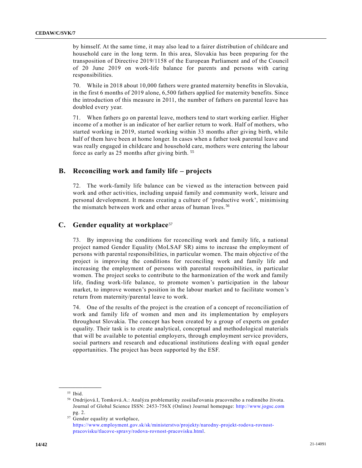by himself. At the same time, it may also lead to a fairer distribution of childcare and household care in the long term. In this area, Slovakia has been preparing for the transposition of Directive 2019/1158 of the European Parliament and of the Council of 20 June 2019 on work-life balance for parents and persons with caring responsibilities.

70. While in 2018 about 10,000 fathers were granted maternity benefits in Slovakia, in the first 6 months of 2019 alone, 6,500 fathers applied for maternity benefits. Since the introduction of this measure in 2011, the number of fathers on parental leave has doubled every year.

71. When fathers go on parental leave, mothers tend to start working earlier. Higher income of a mother is an indicator of her earlier return to work. Half of mothers, who started working in 2019, started working within 33 months after giving birth, while half of them have been at home longer. In cases when a father took parental leave and was really engaged in childcare and household care, mothers were entering the labour force as early as 25 months after giving birth. <sup>55</sup>

#### **B. Reconciling work and family life – projects**

72. The work-family life balance can be viewed as the interaction between paid work and other activities, including unpaid family and community work, leisure and personal development. It means creating a culture of 'productive work', minimising the mismatch between work and other areas of human lives. <sup>56</sup>

### **C. Gender equality at workplace**<sup>57</sup>

73. By improving the conditions for reconciling work and family life, a national project named Gender Equality (MoLSAF SR) aims to increase the employment of persons with parental responsibilities, in particular women. The main objective of the project is improving the conditions for reconciling work and family life and increasing the employment of persons with parental responsibilities, in particular women. The project seeks to contribute to the harmonization of the work and family life, finding work-life balance, to promote women's participation in the labour market, to improve women's position in the labour market and to facilitate women's return from maternity/parental leave to work.

74. One of the results of the project is the creation of a concept of reconciliation of work and family life of women and men and its implementation by employers throughout Slovakia. The concept has been created by a group of experts on gender equality. Their task is to create analytical, conceptual and methodological materials that will be available to potential employers, through employment service providers, social partners and research and educational institutions dealing with equal gender opportunities. The project has been supported by the ESF.

<sup>55</sup> Ibid.

<sup>56</sup> Ondrijová.I, Tomková.A.: Analýza problematiky zosúlaďovania pracovného a rodinného života. Journal of Global Science ISSN: 2453-756X (Online) Journal homepage: [http://www.jogsc.com](http://www.jogsc.com/) pg. 2.

<sup>57</sup> Gender equality at workplace, [https://www.employment.gov.sk/sk/ministerstvo/projekty/narodny-projekt-rodova-rovnost](https://www.employment.gov.sk/sk/ministerstvo/projekty/narodny-projekt-rodova-rovnost-pracovisku/tlacove-spravy/rodova-rovnost-pracovisku.html)[pracovisku/tlacove-spravy/rodova-rovnost-pracovisku.html.](https://www.employment.gov.sk/sk/ministerstvo/projekty/narodny-projekt-rodova-rovnost-pracovisku/tlacove-spravy/rodova-rovnost-pracovisku.html)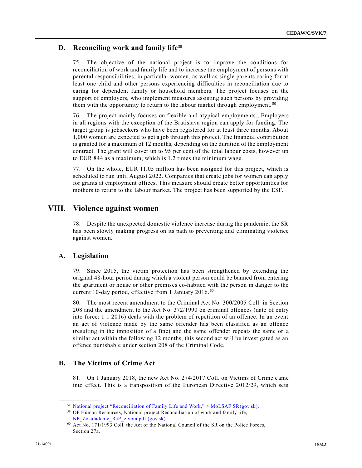### **D. Reconciling work and family life**<sup>58</sup>

75. The objective of the national project is to improve the conditions for reconciliation of work and family life and to increase the employment of persons with parental responsibilities, in particular women, as well as single parents caring for at least one child and other persons experiencing difficulties in reconciliation due to caring for dependent family or household members. The project focuses on the support of employers, who implement measures assisting such persons by providing them with the opportunity to return to the labour market through employment.<sup>59</sup>

76. The project mainly focuses on flexible and atypical employments., Emplo yers in all regions with the exception of the Bratislava region can apply for funding. The target group is jobseekers who have been registered for at least three months. About 1,000 women are expected to get a job through this project. The financial contribution is granted for a maximum of 12 months, depending on the duration of the employment contract. The grant will cover up to 95 per cent of the total labour costs, however up to EUR 844 as a maximum, which is 1.2 times the minimum wage.

77. On the whole, EUR 11.05 million has been assigned for this project, which is scheduled to run until August 2022. Companies that create jobs for women can apply for grants at employment offices. This measure should create better opportunities for mothers to return to the labour market. The project has been supported by the ESF.

# **VIII. Violence against women**

78. Despite the unexpected domestic violence increase during the pandemic, the SR has been slowly making progress on its path to preventing and eliminating violence against women.

#### **A. Legislation**

**\_\_\_\_\_\_\_\_\_\_\_\_\_\_\_\_\_\_**

79. Since 2015, the victim protection has been strengthened by extending the original 48-hour period during which a violent person could be banned from entering the apartment or house or other premises co-habited with the person in danger to the current 10-day period, effective from 1 January 2016. <sup>60</sup>

80. The most recent amendment to the Criminal Act No. 300/2005 Coll. in Section 208 and the amendment to the Act No. 372/1990 on criminal offences (date of entry into force: 1 1 2016) deals with the problem of repetition of an offence. In an event an act of violence made by the same offender has been classified as an offence (resulting in the imposition of a fine) and the same offender repeats the same or a similar act within the following 12 months, this second act will be investigated as an offence punishable under section 208 of the Criminal Code.

#### **B. The Victims of Crime Act**

81. On 1 January 2018, the new Act No. 274/2017 Coll. on Victims of Crime came into effect. This is a transposition of the European Directive 2012/29, which sets

<sup>58</sup> [National project "Reconciliation of Family Life and Work," > MoLSAF SR\(gov.sk\).](https://www.upsvr.gov.sk/narodne-projekty-oznamenia-o-moznosti-predkladania-ziadosti-o-poskytnutie-financneho-prispevku/narodny-projekt-zosuladenie-rodinneho-a-pracovneho-zivota.html?page_id=928628)

<sup>59</sup> OP Human Resources, National project Reconciliation of work and family life, [NP\\_Zosuladenie\\_RaP\\_zivota.pdf](https://www.upsvr.gov.sk/buxus/docs/SESF/Opis_NP_NP_Zosuladenie_RaP_zivota.pdf) (gov.sk).

<sup>60</sup> Act No. 171/1993 Coll. the Act of the National Council of the SR on the Police Forces, Section 27a.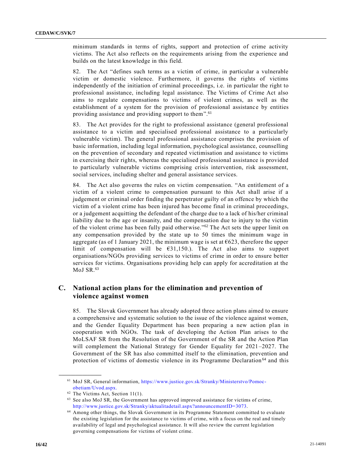minimum standards in terms of rights, support and protection of crime activity victims. The Act also reflects on the requirements arising from the experience and builds on the latest knowledge in this field.

82. The Act "defines such terms as a victim of crime, in particular a vulnerable victim or domestic violence. Furthermore, it governs the rights of victims independently of the initiation of criminal proceedings, i.e. in particular the right to professional assistance, including legal assistance. The Victims of Crime Act also aims to regulate compensations to victims of violent crimes, as well as the establishment of a system for the provision of professional assistance by entities providing assistance and providing support to them".<sup>61</sup>

83. The Act provides for the right to professional assistance (general professional assistance to a victim and specialised professional assistance to a particularly vulnerable victim). The general professional assistance comprises the provision of basic information, including legal information, psychological assistance, counselling on the prevention of secondary and repeated victimisation and assistance to victims in exercising their rights, whereas the specialised professional assistance is provided to particularly vulnerable victims comprising crisis intervention, risk assessment, social services, including shelter and general assistance services.

84. The Act also governs the rules on victim compensation. "An entitlement of a victim of a violent crime to compensation pursuant to this Act shall arise if a judgement or criminal order finding the perpetrator guilty of an offence by which the victim of a violent crime has been injured has become final in criminal proceedings, or a judgement acquitting the defendant of the charge due to a lack of his/her criminal liability due to the age or insanity, and the compensation due to injury to the victim of the violent crime has been fully paid otherwise."<sup>62</sup> The Act sets the upper limit on any compensation provided by the state up to 50 times the minimum wage in aggregate (as of 1 January 2021, the minimum wage is set at  $6623$ , therefore the upper limit of compensation will be  $631,150$ . The Act also aims to support organisations/NGOs providing services to victims of crime in order to ensure better services for victims. Organisations providing help can apply for accreditation at the MoJ SR.<sup>63</sup>

### **C. National action plans for the elimination and prevention of violence against women**

85. The Slovak Government has already adopted three action plans aimed to ensure a comprehensive and systematic solution to the issue of the violence against women, and the Gender Equality Department has been preparing a new action plan in cooperation with NGOs. The task of developing the Action Plan arises to the MoLSAF SR from the Resolution of the Government of the SR and the Action Plan will complement the National Strategy for Gender Equality for 2021–2027. The Government of the SR has also committed itself to the elimination, prevention and protection of victims of domestic violence in its Programme Declaration <sup>64</sup> and this

<sup>61</sup> MoJ SR, General information, [https://www.justice.gov.sk/Stranky/Ministerstvo/Pomoc](https://www.justice.gov.sk/Stranky/Ministerstvo/Pomoc-obetiam/Uvod.aspx)[obetiam/Uvod.aspx.](https://www.justice.gov.sk/Stranky/Ministerstvo/Pomoc-obetiam/Uvod.aspx)

<sup>62</sup> The Victims Act, Section 11(1).

<sup>&</sup>lt;sup>63</sup> See also MoJ SR, the Government has approved improved assistance for victims of crime, [http://www.justice.gov.sk/Stranky/aktualitadetail.aspx?announcementID=3073.](http://www.justice.gov.sk/Stranky/aktualitadetail.aspx?announcementID=3073)

<sup>64</sup> Among other things, the Slovak Government in its Programme Statement committed to evaluate the existing legislation for the assistance to victims of crime, with a focus on the real and timely availability of legal and psychological assistance. It will also review the current legislation governing compensations for victims of violent crime.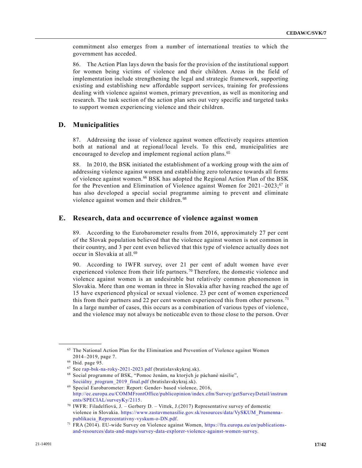commitment also emerges from a number of international treaties to which the government has acceded.

86. The Action Plan lays down the basis for the provision of the institutional support for women being victims of violence and their children. Areas in the field of implementation include strengthening the legal and strategic framework, supporting existing and establishing new affordable support services, training for professions dealing with violence against women, primary prevention, as well as monitoring and research. The task section of the action plan sets out very specific and targeted tasks to support women experiencing violence and their children.

### **D. Municipalities**

87. Addressing the issue of violence against women effectively requires attention both at national and at regional/local levels. To this end, municipalities are encouraged to develop and implement regional action plans.<sup>65</sup>

88. In 2010, the BSK initiated the establishment of a working group with the aim of addressing violence against women and establishing zero tolerance towards all forms of violence against women.<sup>66</sup> BSK has adopted the Regional Action Plan of the BSK for the Prevention and Elimination of Violence against Women for  $2021 - 2023$ ;<sup>67</sup> it has also developed a special social programme aiming to prevent and eliminate violence against women and their children. <sup>68</sup>

#### **E. Research, data and occurrence of violence against women**

89. According to the Eurobarometer results from 2016, approximately 27 per cent of the Slovak population believed that the violence against women is not common in their country, and 3 per cent even believed that this type of violence actually does not occur in Slovakia at all.<sup>69</sup>

90. According to IWFR survey, over 21 per cent of adult women have ever experienced violence from their life partners.<sup>70</sup> Therefore, the domestic violence and violence against women is an undesirable but relatively common phenomenon in Slovakia. More than one woman in three in Slovakia after having reached the age of 15 have experienced physical or sexual violence. 23 per cent of women experienced this from their partners and 22 per cent women experienced this from other persons.<sup>71</sup> In a large number of cases, this occurs as a combination of various types of violence, and the violence may not always be noticeable even to those close to the person. Over

<sup>&</sup>lt;sup>65</sup> The National Action Plan for the Elimination and Prevention of Violence against Women 2014–2019, page 7.

<sup>66</sup> Ibid. page 95.

<sup>67</sup> See [rap-bsk-na-roky-2021-2023.pdf](https://bratislavskykraj.sk/wp-content/uploads/2021/02/rap-bsk-na-roky-2021-2023.pdf) (bratislavskykraj.sk).

<sup>68</sup> Social programme of BSK, "Pomoc ženám, na ktorých je páchané násilie", [Sociálny\\_program\\_2019\\_final.pdf](https://bratislavskykraj.sk/wp-content/uploads/2019/05/Soci%C3%A1lny_program_2019_final.pdf) (bratislavskykraj.sk).

<sup>69</sup> Special Eurobarometer: Report: Gender- based violence, 2016, [http://ec.europa.eu/COMMFrontOffice/publicopinion/index.cfm/Survey/getSurveyDetail/instrum](http://ec.europa.eu/COMMFrontOffice/publicopinion/index.cfm/Survey/getSurveyDetail/instruments/SPECIAL/surveyKy/2115) [ents/SPECIAL/surveyKy/2115.](http://ec.europa.eu/COMMFrontOffice/publicopinion/index.cfm/Survey/getSurveyDetail/instruments/SPECIAL/surveyKy/2115)

<sup>70</sup> IWFR: Filadelfiová, J. – Gerbery D. – Vittek, J.(2017) Representative survey of domestic violence in Slovakia. [https://www.zastavmenasilie.gov.sk/resources/data/VySKUM\\_Pramenna](https://www.zastavmenasilie.gov.sk/resources/data/VySKUM_Pramenna-publikacia_Reprezentativny-vyskum-o-DN.pdf)[publikacia\\_Reprezentativny-vyskum-o-DN.pdf.](https://www.zastavmenasilie.gov.sk/resources/data/VySKUM_Pramenna-publikacia_Reprezentativny-vyskum-o-DN.pdf)

<sup>71</sup> FRA (2014). EU-wide Survey on Violence against Women, [https://fra.europa.eu/en/publications](https://fra.europa.eu/en/publications-and-resources/data-and-maps/survey-data-explorer-violence-against-women-survey)[and-resources/data-and-maps/survey-data-explorer-violence-against-women-survey.](https://fra.europa.eu/en/publications-and-resources/data-and-maps/survey-data-explorer-violence-against-women-survey)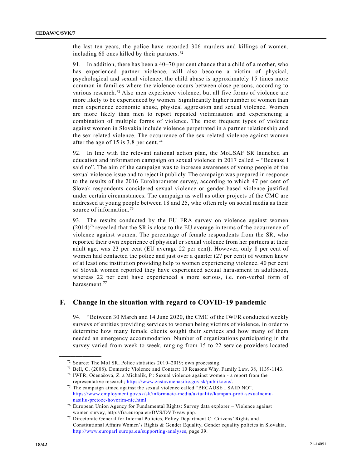the last ten years, the police have recorded 306 murders and killings of women, including 68 ones killed by their partners. <sup>72</sup>

91. In addition, there has been a 40–70 per cent chance that a child of a mother, who has experienced partner violence, will also become a victim of physical, psychological and sexual violence; the child abuse is approximately 15 times more common in families where the violence occurs between close persons, according to various research.<sup>73</sup> Also men experience violence, but all five forms of violence are more likely to be experienced by women. Significantly higher number of women than men experience economic abuse, physical aggression and sexual violence. Women are more likely than men to report repeated victimisation and experiencing a combination of multiple forms of violence. The most frequent types of violence against women in Slovakia include violence perpetrated in a partner relationship and the sex-related violence. The occurrence of the sex-related violence against women after the age of 15 is 3.8 per cent.<sup>74</sup>

92. In line with the relevant national action plan, the MoLSAF SR launched an education and information campaign on sexual violence in 2017 called – "Because I said no". The aim of the campaign was to increase awareness of young people of the sexual violence issue and to reject it publicly. The campaign was prepared in response to the results of the 2016 Eurobarometer survey, according to which 47 per cent of Slovak respondents considered sexual violence or gender-based violence justified under certain circumstances. The campaign as well as other projects of the CMC are addressed at young people between 18 and 25, who often rely on social media as their source of information.<sup>75</sup>

93. The results conducted by the EU FRA survey on violence against women  $(2014)<sup>76</sup>$  revealed that the SR is close to the EU average in terms of the occurrence of violence against women. The percentage of female respondents from the SR, who reported their own experience of physical or sexual violence from her partners at their adult age, was 23 per cent (EU average 22 per cent). However, only 8 per cent of women had contacted the police and just over a quarter (27 per cent) of women knew of at least one institution providing help to women experiencing violence. 40 per cent of Slovak women reported they have experienced sexual harassment in adulthood, whereas 22 per cent have experienced a more serious, i.e. non-verbal form of harassment.<sup>77</sup>

#### **F. Change in the situation with regard to COVID-19 pandemic**

94. "Between 30 March and 14 June 2020, the CMC of the IWFR conducted weekly surveys of entities providing services to women being victims of violence, in order to determine how many female clients sought their services and how many of them needed an emergency accommodation. Number of organizations participating in the survey varied from week to week, ranging from 15 to 22 service providers located

<sup>72</sup> Source: The MoI SR, Police statistics 2010–2019; own processing.

<sup>73</sup> Bell, C. (2008). Domestic Violence and Contact: 10 Reasons Why. Family Law, 38, 1139-1143.

<sup>74</sup> IWFR, Očenášová, Z. a Michalík, P.: Sexual violence against women - a report from the representative research; [https://www.zastavmenasilie.gov.sk/publikacie/.](https://www.zastavmenasilie.gov.sk/publikacie/)

<sup>&</sup>lt;sup>75</sup> The campaign aimed against the sexual violence called "BECAUSE I SAID NO", [https://www.employment.gov.sk/sk/informacie-media/aktuality/kampan-proti-sexualnemu](https://www.employment.gov.sk/sk/informacie-media/aktuality/kampan-proti-sexualnemu-nasiliu-pretoze-hovorim-nie.html)[nasiliu-pretoze-hovorim-nie.html.](https://www.employment.gov.sk/sk/informacie-media/aktuality/kampan-proti-sexualnemu-nasiliu-pretoze-hovorim-nie.html)

 $^{76}$  European Union Agency for Fundamental Rights: Survey data explorer – Violence against women survey, http://fra.europa.eu/DVS/DVT/vaw.php.

<sup>77</sup> Directorate General for Internal Policies, Policy Department C: Citizens' Rights and Constitutional Affairs Women's Rights & Gender Equality, Gender equality policies in Slovakia, [http://www.europarl.europa.eu/supporting-analyses,](http://www.europarl.europa.eu/supporting-analyses) page 39.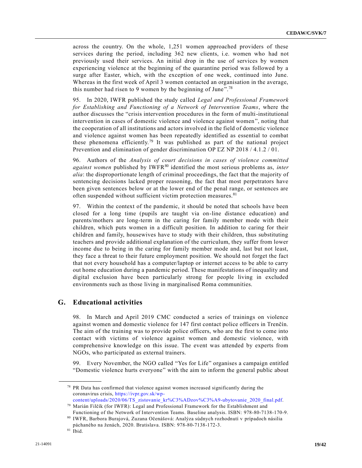across the country. On the whole, 1,251 women approached providers of these services during the period, including 362 new clients, i.e. women who had not previously used their services. An initial drop in the use of services by women experiencing violence at the beginning of the quarantine period was followed by a surge after Easter, which, with the exception of one week, continued into June. Whereas in the first week of April 3 women contacted an organisation in the average, this number had risen to 9 women by the beginning of June".<sup>78</sup>

95. In 2020, IWFR published the study called *Legal and Professional Framework for Establishing and Functioning of a Network of Intervention Teams*, where the author discusses the "crisis intervention procedures in the form of multi-institutional intervention in cases of domestic violence and violence against women", noting that the cooperation of all institutions and actors involved in the field of domestic violence and violence against women has been repeatedly identified as essential to combat these phenomena efficiently.<sup>79</sup> It was published as part of the national project Prevention and elimination of gender discrimination OP LZ NP 2018 / 4.1.2 / 01.

96. Authors of the *Analysis of court decisions in cases of violence committed against women* published by IWFR<sup>80</sup> identified the most serious problems as, *inter alia*: the disproportionate length of criminal proceedings, the fact that the majority of sentencing decisions lacked proper reasoning, the fact that most perpetrators have been given sentences below or at the lower end of the penal range, or sentences are often suspended without sufficient victim protection measures.<sup>81</sup>

97. Within the context of the pandemic, it should be noted that schools have been closed for a long time (pupils are taught via on-line distance education) and parents/mothers are long-term in the caring for family member mode with their children, which puts women in a difficult position. In addition to caring for their children and family, housewives have to study with their children, thus substituting teachers and provide additional explanation of the curriculum, they suffer from lower income due to being in the caring for family member mode and, last but not least, they face a threat to their future employment position. We should not forget the fact that not every household has a computer/laptop or internet access to be able to carry out home education during a pandemic period. These manifestations of inequality and digital exclusion have been particularly strong for people living in excluded environments such as those living in marginalised Roma communities.

### **G. Educational activities**

98. In March and April 2019 CMC conducted a series of trainings on violence against women and domestic violence for 147 first contact police officers in Trenčín. The aim of the training was to provide police officers, who are the first to come into contact with victims of violence against women and domestic violence, with comprehensive knowledge on this issue. The event was attended by experts from NGOs, who participated as external trainers.

99. Every November, the NGO called "Yes for Life" organises a campaign entitled "Domestic violence hurts everyone" with the aim to inform the general public about

<sup>78</sup> PR Data has confirmed that violence against women increased significantly during the coronavirus crisis, [https://ivpr.gov.sk/wp-](https://ivpr.gov.sk/wp-content/uploads/2020/06/TS_zistovanie_kr%C3%ADzov%C3%A9-ubytovanie_2020_final.pdf)

[content/uploads/2020/06/TS\\_zistovanie\\_kr%C3%ADzov%C3%A9-ubytovanie\\_2020\\_final.pdf.](https://ivpr.gov.sk/wp-content/uploads/2020/06/TS_zistovanie_kr%C3%ADzov%C3%A9-ubytovanie_2020_final.pdf) <sup>79</sup> Marián Filčík (for IWFR): Legal and Professional Framework for the Establishment and

Functioning of the Network of Intervention Teams. Baseline analysis. ISBN: 978-80-7138-170-9.  $^{\rm 80}$  IWFR, Barbora Burajová, Zuzana Očenášová: Analýza súdnych rozhodnutí v prípadoch násilia

páchaného na ženách, 2020. Bratislava. ISBN: 978-80-7138-172-3.

<sup>81</sup> Ibid.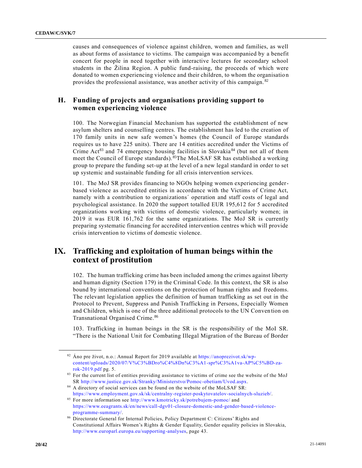causes and consequences of violence against children, women and families, as well as about forms of assistance to victims. The campaign was accompanied by a benefit concert for people in need together with interactive lectures for secondary school students in the Žilina Region. A public fund-raising, the proceeds of which were donated to women experiencing violence and their children, to whom the organisatio n provides the professional assistance, was another activity of this campaign. <sup>82</sup>

### **H. Funding of projects and organisations providing support to women experiencing violence**

100. The Norwegian Financial Mechanism has supported the establishment of new asylum shelters and counselling centres. The establishment has led to the creation of 170 family units in new safe women's homes (the Council of Europe standards requires us to have 225 units). There are 14 entities accredited under the Victims of Crime Act<sup>83</sup> and 74 emergency housing facilities in Slovakia<sup>84</sup> (but not all of them meet the Council of Europe standards). <sup>85</sup>The MoLSAF SR has established a working group to prepare the funding set-up at the level of a new legal standard in order to set up systemic and sustainable funding for all crisis intervention services.

101. The MoJ SR provides financing to NGOs helping women experiencing genderbased violence as accredited entities in accordance with the Victims of Crime Act, namely with a contribution to organizations´ operation and staff costs of legal and psychological assistance. In 2020 the support totalled EUR 195,612 for 5 accredited organizations working with victims of domestic violence, particularly women; in 2019 it was EUR 161,762 for the same organizations. The MoJ SR is currently preparing systematic financing for accredited intervention centres which will provide crisis intervention to victims of domestic violence.

# **IX. Trafficking and exploitation of human beings within the context of prostitution**

102. The human trafficking crime has been included among the crimes against liberty and human dignity (Section 179) in the Criminal Code. In this context, the SR is also bound by international conventions on the protection of human rights and freedoms. The relevant legislation applies the definition of human trafficking as set out in the Protocol to Prevent, Suppress and Punish Trafficking in Persons, Especially Women and Children, which is one of the three additional protocols to the UN Conven tion on Transnational Organised Crime.<sup>86</sup>

103. Trafficking in human beings in the SR is the responsibility of the MoI SR. "There is the National Unit for Combating Illegal Migration of the Bureau of Border

<sup>82</sup> Áno pre život, n.o.: Annual Report for 2019 available at [https://anoprezivot.sk/wp](https://anoprezivot.sk/wp-content/uploads/2020/07/V%C3%BDro%C4%8Dn%C3%A1-spr%C3%A1va-AP%C5%BD-za-rok-2019.pdf)[content/uploads/2020/07/V%C3%BDro%C4%8Dn%C3%A1-spr%C3%A1va-AP%C5%BD-za](https://anoprezivot.sk/wp-content/uploads/2020/07/V%C3%BDro%C4%8Dn%C3%A1-spr%C3%A1va-AP%C5%BD-za-rok-2019.pdf)[rok-2019.pdf](https://anoprezivot.sk/wp-content/uploads/2020/07/V%C3%BDro%C4%8Dn%C3%A1-spr%C3%A1va-AP%C5%BD-za-rok-2019.pdf) pg. 5.

<sup>83</sup> For the current list of entities providing assistance to victims of crime see the website of the MoJ SR [http://www.justice.gov.sk/Stranky/Ministerstvo/Pomoc-obetiam/Uvod.aspx.](http://www.justice.gov.sk/Stranky/Ministerstvo/Pomoc-obetiam/Uvod.aspx)

<sup>84</sup> A directory of social services can be found on the website of the MoLSAF SR[:](https://www.employment.gov.sk/sk/centralny-register-poskytovatelov-socialnych-sluzieb/) [https://www.employment.gov.sk/sk/centralny-register-poskytovatelov-socialnych-sluzieb/.](https://www.employment.gov.sk/sk/centralny-register-poskytovatelov-socialnych-sluzieb/)

<sup>85</sup> For more information see<http://www.kmotricky.sk/potrebujem-pomoc/> and [https://www.eeagrants.sk/en/news/call-dgv01-closure-domestic-and-gender-based-violence](https://www.eeagrants.sk/en/news/call-dgv01-closure-domestic-and-gender-based-violence-programme-summary/)[programme-summary/.](https://www.eeagrants.sk/en/news/call-dgv01-closure-domestic-and-gender-based-violence-programme-summary/)

<sup>86</sup> Directorate General for Internal Policies, Policy Department C: Citizens' Rights and Constitutional Affairs Women's Rights & Gender Equality, Gender equality policies in Slovakia, [http://www.europarl.europa.eu/supporting-analyses,](http://www.europarl.europa.eu/supporting-analyses) page 43.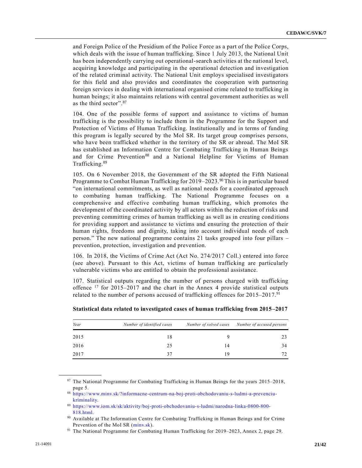and Foreign Police of the Presidium of the Police Force as a part of the Police Corps, which deals with the issue of human trafficking. Since 1 July 2013, the National Unit has been independently carrying out operational-search activities at the national level, acquiring knowledge and participating in the operational detection and investigation of the related criminal activity. The National Unit employs specialised investigators for this field and also provides and coordinates the cooperation with partnering foreign services in dealing with international organised crime related to trafficking in human beings; it also maintains relations with central government authorities as well as the third sector".<sup>87</sup>

104. One of the possible forms of support and assistance to victims of human trafficking is the possibility to include them in the Programme for the Support and Protection of Victims of Human Trafficking. Institutionally and in terms of funding this program is legally secured by the MoI SR. Its target group comprises persons, who have been trafficked whether in the territory of the SR or abroad. The MoI SR has established an Information Centre for Combating Trafficking in Human Beings and for Crime Prevention<sup>88</sup> and a National Helpline for Victims of Human Trafficking.<sup>89</sup>

105. On 6 November 2018, the Government of the SR adopted the Fifth National Programme to Combat Human Trafficking for 2019–2023.<sup>90</sup> This is in particular based "on international commitments, as well as national needs for a coordinated approach to combating human trafficking. The National Programme focuses on a comprehensive and effective combating human trafficking, which promotes the development of the coordinated activity by all actors within the reduction of risks and preventing committing crimes of human trafficking as well as in creating cond itions for providing support and assistance to victims and ensuring the protection of their human rights, freedoms and dignity, taking into account individual needs of each person." The new national programme contains 21 tasks grouped into four pillars – prevention, protection, investigation and prevention.

106. In 2018, the Victims of Crime Act (Act No. 274/2017 Coll.) entered into force (see above). Pursuant to this Act, victims of human trafficking are particularly vulnerable victims who are entitled to obtain the professional assistance.

107. Statistical outputs regarding the number of persons charged with trafficking offence  $17$  for 2015–2017 and the chart in the Annex 4 provide statistical outputs related to the number of persons accused of trafficking offences for 2015–2017.<sup>91</sup>

| Year | Number of identified cases | Number of solved cases | Number of accused persons |
|------|----------------------------|------------------------|---------------------------|
| 2015 | 18                         |                        | 23                        |
| 2016 | 25                         | 14                     | 34                        |
| 2017 | 37                         | 19                     | 72                        |

**Statistical data related to investigated cases of human trafficking from 2015–2017**

<sup>87</sup> The National Programme for Combating Trafficking in Human Beings for the years 2015–2018, page 5.

<sup>88</sup> [https://www.minv.sk/?informacne-centrum-na-boj-proti-obchodovaniu-s-ludmi-a-prevenciu](https://www.minv.sk/?informacne-centrum-na-boj-proti-obchodovaniu-s-ludmi-a-prevenciu-kriminality)[kriminality.](https://www.minv.sk/?informacne-centrum-na-boj-proti-obchodovaniu-s-ludmi-a-prevenciu-kriminality)

<sup>89</sup> [https://www.iom.sk/sk/aktivity/boj-proti-obchodovaniu-s-ludmi/narodna-linka-0800-800-](https://www.iom.sk/sk/aktivity/boj-proti-obchodovaniu-s-ludmi/narodna-linka-0800-800-818.html) [818.html.](https://www.iom.sk/sk/aktivity/boj-proti-obchodovaniu-s-ludmi/narodna-linka-0800-800-818.html)

<sup>90</sup> Available at [The Information Centre for Combating Trafficking in Human Beings and for Crime](https://www.minv.sk/?informacne-centrum-na-boj-proti-obchodovaniu-s-ludmi-a-prevenciu-kriminality)  [Prevention of the MoI SR \(minv.sk\).](https://www.minv.sk/?informacne-centrum-na-boj-proti-obchodovaniu-s-ludmi-a-prevenciu-kriminality)

<sup>91</sup> The National Programme for Combating Human Trafficking for 2019–2023, Annex 2, page 29.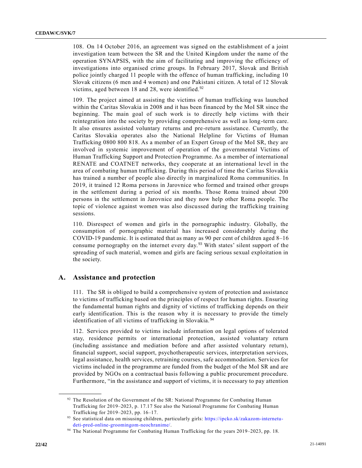108. On 14 October 2016, an agreement was signed on the establishment of a joint investigation team between the SR and the United Kingdom under the name of the operation SYNAPSIS, with the aim of facilitating and improving the efficiency of investigations into organised crime groups. In February 2017, Slovak and British police jointly charged 11 people with the offence of human trafficking, including 10 Slovak citizens (6 men and 4 women) and one Pakistani citizen. A total of 12 Slovak victims, aged between 18 and 28, were identified. $92$ 

109. The project aimed at assisting the victims of human trafficking was launched within the Caritas Slovakia in 2008 and it has been financed by the MoI SR since the beginning. The main goal of such work is to directly help victims with their reintegration into the society by providing comprehensive as well as long-term care. It also ensures assisted voluntary returns and pre-return assistance. Currently, the Caritas Slovakia operates also the National Helpline for Victims of Human Trafficking 0800 800 818. As a member of an Expert Group of the MoI SR, they are involved in systemic improvement of operation of the governmental Victims of Human Trafficking Support and Protection Programme. As a member of international RENATE and COATNET networks, they cooperate at an international level in the area of combating human trafficking. During this period of time the Caritas Slovakia has trained a number of people also directly in marginalized Roma communities. In 2019, it trained 12 Roma persons in Jarovnice who formed and trained other groups in the settlement during a period of six months. Those Roma trained about 200 persons in the settlement in Jarovnice and they now help other Roma people. The topic of violence against women was also discussed during the trafficking training sessions.

110. Disrespect of women and girls in the pornographic industry. Globally, the consumption of pornographic material has increased considerably during the COVID-19 pandemic. It is estimated that as many as 90 per cent of children aged 8–16 consume pornography on the internet every day.<sup>93</sup> With states' silent support of the spreading of such material, women and girls are facing serious sexual exploitation in the society.

### **A. Assistance and protection**

**\_\_\_\_\_\_\_\_\_\_\_\_\_\_\_\_\_\_**

111. The SR is obliged to build a comprehensive system of protection and assistance to victims of trafficking based on the principles of respect for human rights. Ensuring the fundamental human rights and dignity of victims of trafficking depends on their early identification. This is the reason why it is necessary to provide the timely identification of all victims of trafficking in Slovakia. <sup>94</sup>

112. Services provided to victims include information on legal options of tolerated stay, residence permits or international protection, assisted voluntary return (including assistance and mediation before and after assisted voluntary return), financial support, social support, psychotherapeutic services, interpretation services, legal assistance, health services, retraining courses, safe accommodation. Services for victims included in the programme are funded from the budget of the MoI SR and are provided by NGOs on a contractual basis following a public procurement procedure. Furthermore, "in the assistance and support of victims, it is necessary to pay attention

<sup>&</sup>lt;sup>92</sup> The Resolution of the Government of the SR: National Programme for Combating Human Trafficking for 2019–2023, p. 17.17 See also the National Programme for Combating Human Trafficking for 2019–2023, pp. 16–17.

<sup>93</sup> See statistical data on misusing children, particularly girls: [https://ipcko.sk/zakazom-internetu](https://ipcko.sk/zakazom-internetu-deti-pred-online-groomingom-neochranime/)[deti-pred-online-groomingom-neochranime/.](https://ipcko.sk/zakazom-internetu-deti-pred-online-groomingom-neochranime/)

<sup>94</sup> The National Programme for Combating Human Trafficking for the years 2019–2023, pp. 18.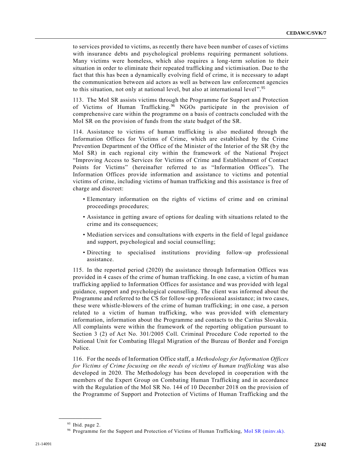to services provided to victims, as recently there have been number of cases of victims with insurance debts and psychological problems requiring permanent solutions. Many victims were homeless, which also requires a long-term solution to their situation in order to eliminate their repeated trafficking and victimisation. Due to the fact that this has been a dynamically evolving field of crime, it is necessary to adapt the communication between aid actors as well as between law enforcement agencies to this situation, not only at national level, but also at international level".<sup>95</sup>

113. The MoI SR assists victims through the Programme for Support and Protection of Victims of Human Trafficking.<sup>96</sup> NGOs participate in the provision of comprehensive care within the programme on a basis of contracts concluded with the MoI SR on the provision of funds from the state budget of the SR.

114. Assistance to victims of human trafficking is also mediated through the Information Offices for Victims of Crime, which are established by the Crime Prevention Department of the Office of the Minister of the Interior of the SR (by the MoI SR) in each regional city within the framework of the National Project "Improving Access to Services for Victims of Crime and Establishment of Contact Points for Victims" (hereinafter referred to as "Information Offices"). The Information Offices provide information and assistance to victims and potential victims of crime, including victims of human trafficking and this assistance is free of charge and discreet:

- Elementary information on the rights of victims of crime and on criminal proceedings procedures;
- Assistance in getting aware of options for dealing with situations related to the crime and its consequences;
- Mediation services and consultations with experts in the field of legal guidance and support, psychological and social counselling;
- Directing to specialised institutions providing follow-up professional assistance.

115. In the reported period (2020) the assistance through Information Offices was provided in 4 cases of the crime of human trafficking. In one case, a victim of human trafficking applied to Information Offices for assistance and was provided with legal guidance, support and psychological counselling. The client was informed about the Programme and referred to the CS for follow-up professional assistance; in two cases, these were whistle-blowers of the crime of human trafficking; in one case, a person related to a victim of human trafficking, who was provided with elementary information, information about the Programme and contacts to the Caritas Slovakia. All complaints were within the framework of the reporting obligation pursuant to Section 3 (2) of Act No. 301/2005 Coll. Criminal Procedure Code reported to the National Unit for Combating Illegal Migration of the Bureau of Border and Foreign Police.

116. For the needs of Information Office staff, a *Methodology for Information Offices for Victims of Crime focusing on the needs of victims of human trafficking was also* developed in 2020*.* The Methodology has been developed in cooperation with the members of the Expert Group on Combating Human Trafficking and in accordance with the Regulation of the MoI SR No. 144 of 10 December 2018 on the provision of the Programme of Support and Protection of Victims of Human Trafficking and the

<sup>&</sup>lt;sup>95</sup> Ibid. page 2.

<sup>&</sup>lt;sup>96</sup> Programme for the Support and Protection of Victims of Human Trafficking, [MoI SR \(minv.sk\).](https://www.minv.sk/?program_podpory_a_ochrany_obeti)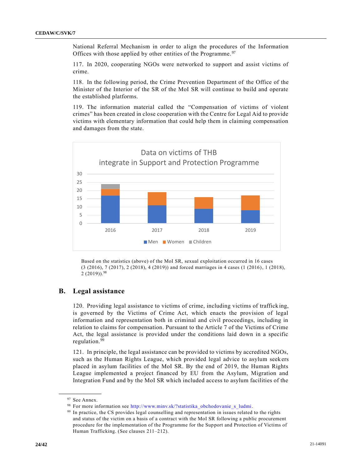National Referral Mechanism in order to align the procedures of the Information Offices with those applied by other entities of the Programme.<sup>97</sup>

117. In 2020, cooperating NGOs were networked to support and assist victims of crime.

118. In the following period, the Crime Prevention Department of the Office of the Minister of the Interior of the SR of the MoI SR will continue to build and operate the established platforms.

119. The information material called the "Compensation of victims of violent crimes" has been created in close cooperation with the Centre for Legal Aid to provide victims with elementary information that could help them in claiming compensation and damages from the state.



Based on the statistics (above) of the MoI SR, sexual exploitation occurred in 16 cases (3 (2016), 7 (2017), 2 (2018), 4 (2019)) and forced marriages in 4 cases (1 (2016), 1 (2018),  $2(2019)$ . 98

#### **B. Legal assistance**

120. Providing legal assistance to victims of crime, including victims of trafficking, is governed by the Victims of Crime Act, which enacts the provision of legal information and representation both in criminal and civil proceedings, including in relation to claims for compensation. Pursuant to the Article 7 of the Victims of Crime Act, the legal assistance is provided under the conditions laid down in a specific regulation.<sup>99</sup>

121. In principle, the legal assistance can be provided to victims by accredited NGOs, such as the Human Rights League, which provided legal advice to asylum seekers placed in asylum facilities of the MoI SR. By the end of 2019, the Human Rights League implemented a project financed by EU from the Asylum, Migration and Integration Fund and by the MoI SR which included access to asylum facilities of the

**\_\_\_\_\_\_\_\_\_\_\_\_\_\_\_\_\_\_** 97 See Annex.

<sup>98</sup> For more information see [http://www.minv.sk/?statistika\\_obchodovanie\\_s\\_ludmi.](http://www.minv.sk/?statistika_obchodovanie_s_ludmi)

<sup>&</sup>lt;sup>99</sup> In practice, the CS provides legal counselling and representation in issues related to the rights and status of the victim on a basis of a contract with the MoI SR following a public procurement procedure for the implementation of the Programme for the Support and Protection of Victims of Human Trafficking. (See clauses 211–212).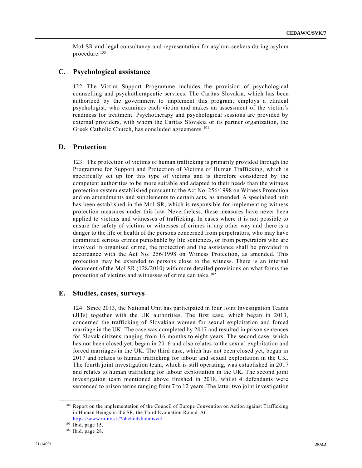MoI SR and legal consultancy and representation for asylum-seekers during asylum procedure.<sup>100</sup>

#### **C. Psychological assistance**

122. The Victim Support Programme includes the provision of psychological counselling and psychotherapeutic services. The Caritas Slovakia, which has been authorized by the government to implement this program, employs a clinical psychologist, who examines each victim and makes an assessment of the victim's readiness for treatment. Psychotherapy and psychological sessions are provided by external providers, with whom the Caritas Slovakia or its partner organization, the Greek Catholic Church, has concluded agreements.<sup>101</sup>

#### **D. Protection**

123. The protection of victims of human trafficking is primarily provided through the Programme for Support and Protection of Victims of Human Trafficking, which is specifically set up for this type of victims and is therefore considered by the competent authorities to be more suitable and adapted to their needs than the witness protection system established pursuant to the Act No. 256/1998 on Witness Protection and on amendments and supplements to certain acts, as amended. A specialised unit has been established in the MoI SR, which is responsible for implementing witness protection measures under this law. Nevertheless, these measures have never been applied to victims and witnesses of trafficking. In cases where it is not possible to ensure the safety of victims or witnesses of crimes in any other way and there is a danger to the life or health of the persons concerned from perpetrators, who may have committed serious crimes punishable by life sentences, or from perpetrators who are involved in organised crime, the protection and the assistance shall be provided in accordance with the Act No. 256/1998 on Witness Protection, as amended. This protection may be extended to persons close to the witness. There is an internal document of the MoI SR (128/2010) with more detailed provisions on what forms the protection of victims and witnesses of crime can take. <sup>102</sup>

#### **E. Studies, cases, surveys**

124. Since 2013, the National Unit has participated in four Joint Investigation Teams (JITs) together with the UK authorities. The first case, which began in 2013, concerned the trafficking of Slovakian women for sexual exploitation and forced marriage in the UK. The case was completed by 2017 and resulted in prison sentences for Slovak citizens ranging from 16 months to eight years. The second case, which has not been closed yet, began in 2016 and also relates to the sexual exploitation and forced marriages in the UK. The third case, which has not been closed yet, began in 2017 and relates to human trafficking for labour and sexual exploitation in the UK. The fourth joint investigation team, which is still operating, was established in 2017 and relates to human trafficking for labour exploitation in the UK. The second joint investigation team mentioned above finished in 2018, whilst 4 defendants were sentenced to prison terms ranging from 7 to 12 years. The latter two joint investigation

<sup>&</sup>lt;sup>100</sup> Report on the implementation of the Council of Europe Convention on Action against Trafficking in Human Beings in the SR, the Third Evaluation Round. At [https://www.minv.sk/?obchodsludmisvet.](https://www.minv.sk/?obchodsludmisvet)

<sup>101</sup> Ibid. page 15.

<sup>102</sup> Ibid. page 28.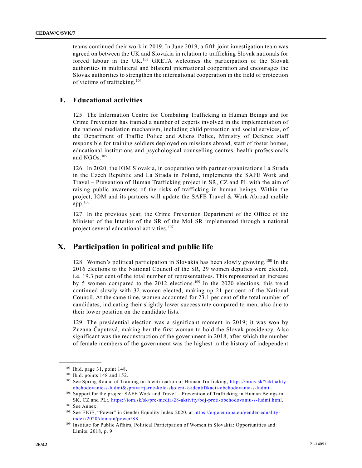teams continued their work in 2019. In June 2019, a fifth joint investigation team was agreed on between the UK and Slovakia in relation to trafficking Slovak nationals for forced labour in the UK.<sup>103</sup> GRETA welcomes the participation of the Slovak authorities in multilateral and bilateral international cooperation and encourages the Slovak authorities to strengthen the international cooperation in the field of protection of victims of trafficking.<sup>104</sup>

#### **F. Educational activities**

125. The Information Centre for Combating Trafficking in Human Beings and for Crime Prevention has trained a number of experts involved in the implementation of the national mediation mechanism, including child protection and social services, of the Department of Traffic Police and Aliens Police, Ministry of Defence staff responsible for training soldiers deployed on missions abroad, staff of foster homes, educational institutions and psychological counselling centres, health professionals and NGOs.<sup>105</sup>

126. In 2020, the IOM Slovakia, in cooperation with partner organizations La Strada in the Czech Republic and La Strada in Poland, implements the SAFE Work and Travel – Prevention of Human Trafficking project in SR, CZ and PL with the aim of raising public awareness of the risks of trafficking in human beings. Within the project, IOM and its partners will update the SAFE Travel & Work Abroad mobile app.<sup>106</sup>

127. In the previous year, the Crime Prevention Department of the Office of the Minister of the Interior of the SR of the MoI SR implemented through a national project several educational activities. <sup>107</sup>

# **X. Participation in political and public life**

128. Women's political participation in Slovakia has been slowly growing. <sup>108</sup> In the 2016 elections to the National Council of the SR, 29 women deputies were elected, i.e. 19.3 per cent of the total number of representatives. This represented an increase by 5 women compared to the 2012 elections.<sup>109</sup> In the 2020 elections, this trend continued slowly with 32 women elected, making up 21 per cent of the National Council. At the same time, women accounted for 23.1 per cent of the total number of candidates, indicating their slightly lower success rate compared to men, also due to their lower position on the candidate lists.

129. The presidential election was a significant moment in 2019; it was won by Zuzana Čaputová, making her the first woman to hold the Slovak presidency. Also significant was the reconstruction of the government in 2018, after which the number of female members of the government was the highest in the history of independent

<sup>103</sup> Ibid. page 31, point 148.

<sup>104</sup> Ibid. points 148 and 152.

<sup>105</sup> See Spring Round of Training on Identification of Human Trafficking, [https://minv.sk/?aktuality](https://minv.sk/?aktuality-obchodovanie-s-ludmi&sprava=jarne-kolo-skoleni-k-identifikacii-obchodovania-s-ludmi)[obchodovanie-s-ludmi&sprava=jarne-kolo-skoleni-k-identifikacii-obchodovania-s-ludmi.](https://minv.sk/?aktuality-obchodovanie-s-ludmi&sprava=jarne-kolo-skoleni-k-identifikacii-obchodovania-s-ludmi)

<sup>106</sup> Support for the project SAFE Work and Travel – Prevention of Trafficking in Human Beings in SK, CZ and PL:, [https://iom.sk/sk/pre-media/28-aktivity/boj-proti-obchodovaniu-s-ludmi.html.](https://iom.sk/sk/pre-media/28-aktivity/boj-proti-obchodovaniu-s-ludmi.html)

<sup>107</sup> See Annex.

<sup>108</sup> See EIGE, "Power" in Gender Equality Index 2020, at [https://eige.europa.eu/gender-equality](https://eige.europa.eu/gender-equality-index/2020/domain/power/SK)[index/2020/domain/power/SK.](https://eige.europa.eu/gender-equality-index/2020/domain/power/SK)

<sup>&</sup>lt;sup>109</sup> Institute for Public Affairs, Political Participation of Women in Slovakia: Opportunities and Limits. 2018, p. 9.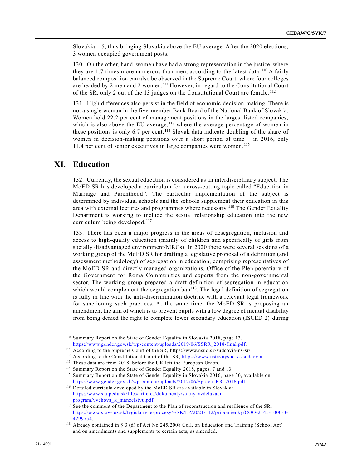Slovakia – 5, thus bringing Slovakia above the EU average. After the 2020 elections, 3 women occupied government posts.

130. On the other, hand, women have had a strong representation in the justice, where they are 1.7 times more numerous than men, according to the latest data.<sup>110</sup> A fairly balanced composition can also be observed in the Supreme Court, where four colleges are headed by 2 men and 2 women.<sup>111</sup> However, in regard to the Constitutional Court of the SR, only 2 out of the 13 judges on the Constitutional Court are female. <sup>112</sup>

131. High differences also persist in the field of economic decision-making. There is not a single woman in the five-member Bank Board of the National Bank of Slovakia. Women hold 22.2 per cent of management positions in the largest listed companies, which is also above the EU average,<sup>113</sup> where the average percentage of women in these positions is only 6.7 per cent.<sup>114</sup> Slovak data indicate doubling of the share of women in decision-making positions over a short period of time – in 2016, only 11.4 per cent of senior executives in large companies were women. <sup>115</sup>

# **XI. Education**

**\_\_\_\_\_\_\_\_\_\_\_\_\_\_\_\_\_\_**

132. Currently, the sexual education is considered as an interdisciplinary subject. The MoED SR has developed a curriculum for a cross-cutting topic called "Education in Marriage and Parenthood". The particular implementation of the subject is determined by individual schools and the schools supplement their education in this area with external lectures and programmes where necessary. <sup>116</sup> The Gender Equality Department is working to include the sexual relationship education into the new curriculum being developed.<sup>117</sup>

133. There has been a major progress in the areas of desegregation, inclusion and access to high-quality education (mainly of children and specifically of girls from socially disadvantaged environment/MRCs). In 2020 there were several sessions of a working group of the MoED SR for drafting a legislative proposal of a definition (and assessment methodology) of segregation in education, comprising representatives of the MoED SR and directly managed organizations, Office of the Plenipotentiar y of the Government for Roma Communities and experts from the non-governmental sector. The working group prepared a draft definition of segregation in education which would complement the segregation ban $118$ . The legal definition of segregation is fully in line with the anti-discrimination doctrine with a relevant legal framework for sanctioning such practices. At the same time, the MoED SR is proposing an amendment the aim of which is to prevent pupils with a low degree of mental disability from being denied the right to complete lower secondary education (ISCED 2) during

<sup>110</sup> Summary Report on the State of Gender Equality in Slovakia 2018, page 13[.](https://www.gender.gov.sk/wp-content/uploads/2019/06/SSRR_2018-final.pdf) [https://www.gender.gov.sk/wp-content/uploads/2019/06/SSRR\\_2018-final.pdf.](https://www.gender.gov.sk/wp-content/uploads/2019/06/SSRR_2018-final.pdf)

<sup>111</sup> According to the Supreme Court of the SR, https://www.nsud.sk/sudcovia-ns-sr/.

<sup>112</sup> According to the Constitutional Court of the SR, [https://www.ustavnysud.sk/sudcovia.](https://www.ustavnysud.sk/sudcovia)

<sup>113</sup> These data are from 2018, before the UK left the European Union.

<sup>114</sup> Summary Report on the State of Gender Equality 2018, pages. 7 and 13.

<sup>115</sup> Summary Report on the State of Gender Equality in Slovakia 2016, page 30, available o[n](https://www.gender.gov.sk/wp-content/uploads/2012/06/Sprava_RR_2016.pdf) [https://www.gender.gov.sk/wp-content/uploads/2012/06/Sprava\\_RR\\_2016.pdf.](https://www.gender.gov.sk/wp-content/uploads/2012/06/Sprava_RR_2016.pdf)

<sup>116</sup> Detailed curricula developed by the MoED SR are available in Slovak at [https://www.statpedu.sk/files/articles/dokumenty/statny-vzdelavaci](https://www.statpedu.sk/files/articles/dokumenty/statny-vzdelavaci-program/vychova_k_manzelstvu.pdf)[program/vychova\\_k\\_manzelstvu.pdf.](https://www.statpedu.sk/files/articles/dokumenty/statny-vzdelavaci-program/vychova_k_manzelstvu.pdf)

<sup>&</sup>lt;sup>117</sup> See the comment of the Department to the Plan of reconstruction and resilience of the SR, [https://www.slov-lex.sk/legislativne-procesy/-/SK/LP/2021/112/pripomienky/COO-2145-1000-3-](https://www.slov-lex.sk/legislativne-procesy/-/SK/LP/2021/112/pripomienky/COO-2145-1000-3-4299754) [4299754.](https://www.slov-lex.sk/legislativne-procesy/-/SK/LP/2021/112/pripomienky/COO-2145-1000-3-4299754)

<sup>118</sup> Already contained in § 3 (d) of Act No 245/2008 Coll. on Education and Training (School Act) and on amendments and supplements to certain acts, as amended.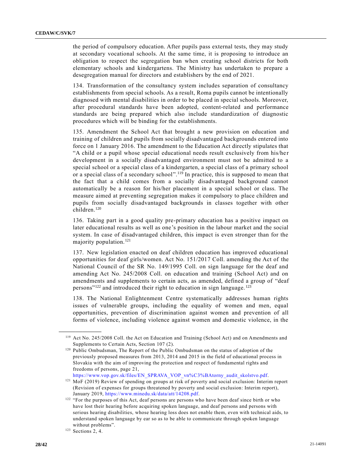the period of compulsory education. After pupils pass external tests, they may study at secondary vocational schools. At the same time, it is proposing to introduce an obligation to respect the segregation ban when creating school districts for both elementary schools and kindergartens. The Ministry has undertaken to prepare a desegregation manual for directors and establishers by the end of 2021.

134. Transformation of the consultancy system includes separation of consultancy establishments from special schools. As a result, Roma pupils cannot be intentionally diagnosed with mental disabilities in order to be placed in special schools. Moreover, after procedural standards have been adopted, content-related and performance standards are being prepared which also include standardization of diagnostic procedures which will be binding for the establishments.

135. Amendment the School Act that brought a new provision on education and training of children and pupils from socially disadvantaged backgrounds entered into force on 1 January 2016. The amendment to the Education Act directly stipulates that "A child or a pupil whose special educational needs result exclusively from his/her development in a socially disadvantaged environment must not be admitted to a special school or a special class of a kindergarten, a special class of a primary school or a special class of a secondary school".<sup>119</sup> In practice, this is supposed to mean that the fact that a child comes from a socially disadvantaged background cannot automatically be a reason for his/her placement in a special school or class. The measure aimed at preventing segregation makes it compulsory to place children and pupils from socially disadvantaged backgrounds in classes together with other children.<sup>120</sup>

136. Taking part in a good quality pre-primary education has a positive impact on later educational results as well as one's position in the labour market and the social system. In case of disadvantaged children, this impact is even stronger than for the majority population.<sup>121</sup>

137. New legislation enacted on deaf children education has improved educational opportunities for deaf girls/women. Act No. 151/2017 Coll. amending the Act of the National Council of the SR No. 149/1995 Coll. on sign language for the deaf and amending Act No. 245/2008 Coll. on education and training (School Act) and on amendments and supplements to certain acts, as amended, defined a group of "deaf persons"<sup>122</sup> and introduced their right to education in sign language.<sup>123</sup>

138. The National Enlightenment Centre systematically addresses human rights issues of vulnerable groups, including the equality of women and men, equal opportunities, prevention of discrimination against women and prevention of all forms of violence, including violence against women and domestic violence, in the

[https://www.vop.gov.sk/files/EN\\_SPRAVA\\_VOP\\_vn%C3%BAtorny\\_audit\\_skolstvo.pdf.](https://www.vop.gov.sk/files/EN_SPRAVA_VOP_vn%C3%BAtorny_audit_skolstvo.pdf)

<sup>119</sup> Act No. 245/2008 Coll. the Act on Education and Training (School Act) and on Amendments and Supplements to Certain Acts, Section 107 (2).

<sup>&</sup>lt;sup>120</sup> Public Ombudsman, The Report of the Public Ombudsman on the status of adoption of the previously proposed measures from 2013, 2014 and 2015 in the field of educational process in Slovakia with the aim of improving the protection and respect of fundamental rights and freedoms of persons, page 21,

<sup>121</sup> MoF (2019) Review of spending on groups at risk of poverty and social exclusion: Interim report (Revision of expenses for groups threatened by poverty and social exclusion: Interim report), January 2019, [https://www.minedu.sk/data/att/14208.pdf.](https://www.minedu.sk/data/att/14208.pdf)

<sup>&</sup>lt;sup>122</sup> "For the purposes of this Act, deaf persons are persons who have been deaf since birth or who have lost their hearing before acquiring spoken language, and deaf persons and persons with serious hearing disabilities, whose hearing loss does not enable them, even with technical aids, to understand spoken language by ear so as to be able to communicate through spoken language without problems".

<sup>123</sup> Sections 2, 4.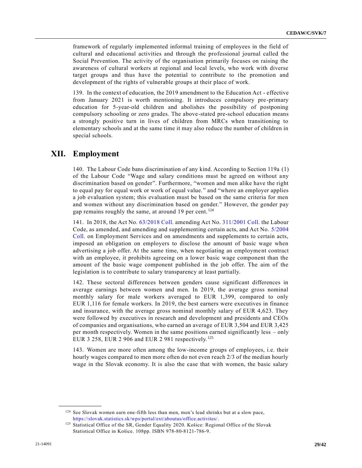framework of regularly implemented informal training of employees in the field of cultural and educational activities and through the professional journal called the Social Prevention. The activity of the organisation primarily focuses on raising the awareness of cultural workers at regional and local levels, who work with diverse target groups and thus have the potential to contribute to the promotion and development of the rights of vulnerable groups at their place of work.

139. In the context of education, the 2019 amendment to the Education Act - effective from January 2021 is worth mentioning. It introduces compulsory pre-primary education for 5-year-old children and abolishes the possibility of postponing compulsory schooling or zero grades. The above-stated pre-school education means a strongly positive turn in lives of children from MRCs when transitioning to elementary schools and at the same time it may also reduce the number of children in special schools.

# **XII. Employment**

140. The Labour Code bans discrimination of any kind. According to Section 119a (1) of the Labour Code "Wage and salary conditions must be agreed on without any discrimination based on gender". Furthermore, "women and men alike have the right to equal pay for equal work or work of equal value." and "where an employer applies a job evaluation system; this evaluation must be based on the same criteria for men and women without any discrimination based on gender." However, the gender pay gap remains roughly the same, at around 19 per cent.<sup>124</sup>

141. In 2018, the Act No. [63/2018 Coll.](https://www.mzdovecentrum.sk/form/goto.ashx?t=26&p=4801318&f=3) amending Act No. [311/2001 Coll.](https://www.mzdovecentrum.sk/form/goto.ashx?t=26&p=1019535&f=3) the Labour Code, as amended, and amending and supplementing certain acts, and Act No. [5/2004](https://www.mzdovecentrum.sk/form/goto.ashx?t=26&p=1021274&f=3)  [Coll.](https://www.mzdovecentrum.sk/form/goto.ashx?t=26&p=1021274&f=3) on Employment Services and on amendments and supplements to certain acts, imposed an obligation on employers to disclose the amount of basic wage when advertising a job offer. At the same time, when negotiating an employment contract with an employee, it prohibits agreeing on a lower basic wage component than the amount of the basic wage component published in the job offer. The aim of the legislation is to contribute to salary transparency at least partially.

142. These sectoral differences between genders cause significant differences in average earnings between women and men. In 2019, the average gross nominal monthly salary for male workers averaged to EUR 1,399, compared to only EUR 1,116 for female workers. In 2019, the best earners were executives in finance and insurance, with the average gross nominal monthly salary of EUR 4,623. They were followed by executives in research and development and presidents and CEOs of companies and organisations, who earned an average of EUR 3,504 and EUR 3,425 per month respectively. Women in the same positions earned significantly less – only EUR 3 258, EUR 2 906 and EUR 2 981 respectively.<sup>125</sup>

143. Women are more often among the low-income groups of employees, i.e. their hourly wages compared to men more often do not even reach 2/3 of the median hourly wage in the Slovak economy. It is also the case that with women, the basic salary

<sup>124</sup> See Slovak women earn one-fifth less than men, men's lead shrinks but at a slow pace, [https://slovak.statistics.sk/wps/portal/ext/aboutus/office.activites/.](https://slovak.statistics.sk/wps/portal/ext/aboutus/office.activites/officeNews/vsetkyaktuality/48682d65-e086-4050-b711-93dac13b6c20/!ut/p/z1/tVJNc4IwEP0tHjhCNoaP2Ft0OmIrB-1YIZcOIEqKEIQo9d83dHpoO7W1h-aQz_d2X_Yt4ihEvIpPYhcrIat4r88Rd58W3oyOx5gBBPcTmJGZvxizJbbxED0ijnhaqVrlKJJJG-dmW5ii2ppxoQzQkzgJddbrMd7rjQGnNlPFxwubunS4cR0zA-qaNjhgJh7G5ohs4hSTxE2H0GepU7FB0VXo9W-yuX6GC4P1fP4GmUyZb3tzADqfOjBj_mo5WhACjLwDfogRaQ3eRQ0-RuuTyDq0qmRT6ko__PGLPqA7xEVSWl1aWmBhqlk2uNhxbA-PwO29GzbBJNjpuLHKe1MkCr-UH4VXZdOxxPPhwJk2W1Yqe1Eo_Ee3dTpWJYRq6U22zZqssY6N7sZcqbq9McCAruusnZS7fWalsjS-peSy1TI_I1FdlpSczWIb3BKbR1Q5ybljg8Er0gqmeQ!!/dz/d5/L2dBISEvZ0FBIS9nQSEh/)

<sup>&</sup>lt;sup>125</sup> Statistical Office of the SR, Gender Equality 2020. Košice: Regional Office of the Slovak Statistical Office in Košice. 108pp. ISBN 978-80-8121-786-9.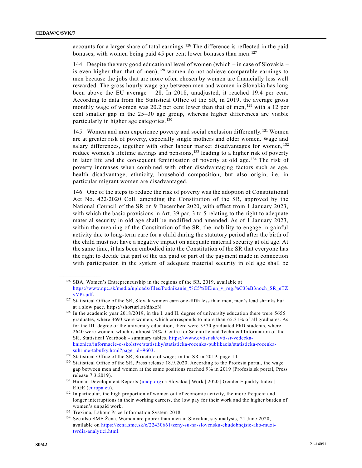accounts for a larger share of total earnings. <sup>126</sup> The difference is reflected in the paid bonuses, with women being paid 45 per cent lower bonuses than men.<sup>127</sup>

144. Despite the very good educational level of women (which – in case of Slovakia – is even higher than that of men),<sup>128</sup> women do not achieve comparable earnings to men because the jobs that are more often chosen by women are financially less well rewarded. The gross hourly wage gap between men and women in Slovakia has long been above the EU average – 28. In 2018, unadjusted, it reached 19.4 per cent. According to data from the Statistical Office of the SR, in 2019, the average gross monthly wage of women was 20.2 per cent lower than that of men, <sup>129</sup> with a 12 per cent smaller gap in the 25–30 age group, whereas higher differences are visible particularly in higher age categories. <sup>130</sup>

145. Women and men experience poverty and social exclusion differently. <sup>131</sup> Women are at greater risk of poverty, especially single mothers and older women. Wage and salary differences, together with other labour market disadvantages for women, 132 reduce women's lifetime savings and pensions,<sup>133</sup> leading to a higher risk of poverty in later life and the consequent feminisation of poverty at old age. <sup>134</sup> The risk of poverty increases when combined with other disadvantaging factors such as age, health disadvantage, ethnicity, household composition, but also origin, i.e. in particular migrant women are disadvantaged.

146. One of the steps to reduce the risk of poverty was the adoption of Constitutional Act No. 422/2020 Coll. amending the Constitution of the SR, approved by the National Council of the SR on 9 December 2020, with effect from 1 January 2023, with which the basic provisions in Art. 39 par. 3 to 5 relating to the right to adequate material security in old age shall be modified and amended. As of 1 January 2023, within the meaning of the Constitution of the SR, the inability to engage in gainful activity due to long-term care for a child during the statutory period after the birth of the child must not have a negative impact on adequate material security at old age. At the same time, it has been embodied into the Constitution of the SR that everyone has the right to decide that part of the tax paid or part of the payment made in connection with participation in the system of adequate material security in old age shall be

<sup>&</sup>lt;sup>126</sup> SBA, Women's Entrepreneurship in the regions of the SR, 2019, available at [https://www.npc.sk/media/uploads/files/Podnikanie\\_%C5%BEien\\_v\\_regi%C3%B3noch\\_SR\\_eTZ](https://www.npc.sk/media/uploads/files/Podnikanie_%C5%BEien_v_regi%C3%B3noch_SR_eTZyVPi.pdf) [yVPi.pdf.](https://www.npc.sk/media/uploads/files/Podnikanie_%C5%BEien_v_regi%C3%B3noch_SR_eTZyVPi.pdf)

<sup>&</sup>lt;sup>127</sup> Statistical Office of the SR, Slovak women earn one-fifth less than men, men's lead shrinks but at a slow pace. https://shorturl.at/dhxzN.

<sup>&</sup>lt;sup>128</sup> In the academic year 2018/2019, in the I. and II. degree of university education there were 5655 graduates, where 3693 were women, which corresponds to more than 65.31% of all graduates. As for the III. degree of the university education, there were 3570 graduated PhD students, where 2640 were women, which is almost 74%. Centre for Scientific and Technical Information of the SR, Statistical Yearbook - summary tables. [https://www.cvtisr.sk/cvti-sr-vedecka](https://www.cvtisr.sk/cvti-sr-vedecka-kniznica/informacie-o-skolstve/statistiky/statisticka-rocenka-publikacia/statisticka-rocenka-suhrnne-tabulky.html?page_id=9603)[kniznica/informacie-o-skolstve/statistiky/statisticka-rocenka-publikacia/statisticka-rocenka](https://www.cvtisr.sk/cvti-sr-vedecka-kniznica/informacie-o-skolstve/statistiky/statisticka-rocenka-publikacia/statisticka-rocenka-suhrnne-tabulky.html?page_id=9603)[suhrnne-tabulky.html?page\\_id=9603.](https://www.cvtisr.sk/cvti-sr-vedecka-kniznica/informacie-o-skolstve/statistiky/statisticka-rocenka-publikacia/statisticka-rocenka-suhrnne-tabulky.html?page_id=9603)

<sup>&</sup>lt;sup>129</sup> Statistical Office of the SR, Structure of wages in the SR in 2019, page 10.

<sup>&</sup>lt;sup>130</sup> Statistical Office of the SR, Press release 18.9.2020. According to the Profesia portal, the wage gap between men and women at the same positions reached 9% in 2019 (Profesia.sk portal, Press release 7.3.2019).

<sup>131</sup> Human Development Reports [\(undp.org\)](https://www.undp.org/) a Slovakia | Work | 2020 | Gender Equality Index | EIGE [\(europa.eu\)](https://europa.eu/).

<sup>&</sup>lt;sup>132</sup> In particular, the high proportion of women out of economic activity, the more frequent and longer interruptions in their working careers, the low pay for their work and the higher burden of women's unpaid work.

<sup>&</sup>lt;sup>133</sup> Trexima, Labour Price Information System 2018.

<sup>134</sup> See also SME Žena, Women are poorer than men in Slovakia, say analysts, 21 June 2020, available on [https://zena.sme.sk/c/22430661/zeny-su-na-slovensku-chudobnejsie-ako-muzi](https://zena.sme.sk/c/22430661/zeny-su-na-slovensku-chudobnejsie-ako-muzi-tvrdia-analytici.html)[tvrdia-analytici.html.](https://zena.sme.sk/c/22430661/zeny-su-na-slovensku-chudobnejsie-ako-muzi-tvrdia-analytici.html)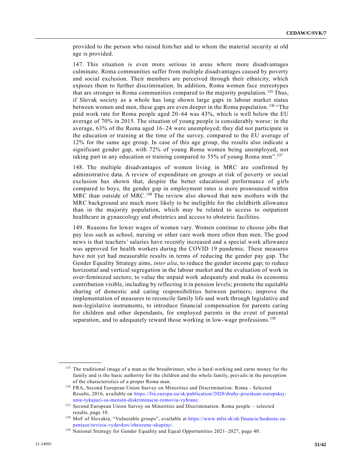provided to the person who raised him/her and to whom the material security at old age is provided.

147. This situation is even more serious in areas where more disadvantages culminate. Roma communities suffer from multiple disadvantages caused by poverty and social exclusion. Their members are perceived through their ethnicity, which exposes them to further discrimination. In addition, Roma women face stereotypes that are stronger in Roma communities compared to the majority population. <sup>135</sup> Thus, if Slovak society as a whole has long shown large gaps in labour market status between women and men, these gaps are even deeper in the Roma population. <sup>136</sup> "The paid work rate for Roma people aged 20–64 was 43%, which is well below the EU average of 70% in 2015. The situation of young people is considerably worse: in the average, 63% of the Roma aged 16–24 were unemployed; they did not participate in the education or training at the time of the survey, compared to the EU average of 12% for the same age group. In case of this age group, the results also indicate a significant gender gap, with 72% of young Roma women being unemployed, not taking part in any education or training compared to 55% of young Roma men".<sup>137</sup>

148. The multiple disadvantages of women living in MRC are confirmed by administrative data. A review of expenditure on groups at risk of poverty or social exclusion has shown that, despite the better educational performance of girls compared to boys, the gender gap in employment rates is more pronounced within MRC than outside of MRC.<sup>138</sup> The review also showed that new mothers with the MRC background are much more likely to be ineligible for the childbirth allowance than in the majority population, which may be related to access to outpatient healthcare in gynaecology and obstetrics and access to obstetric facilities.

149. Reasons for lower wages of women vary. Women continue to choose jobs that pay less such as school, nursing or other care work more often than men. The good news is that teachers' salaries have recently increased and a special work allowance was approved for health workers during the COVID 19 pandemic. These measures have not yet had measurable results in terms of reducing the gender pay gap. The Gender Equality Strategy aims, *inter alia*, to reduce the gender income gap; to reduce horizontal and vertical segregation in the labour market and the evaluation of work in over-feminized sectors; to value the unpaid work adequately and make its economic contribution visible, including by reflecting it in pension levels; promote the equitable sharing of domestic and caring responsibilities between partners; improve the implementation of measures to reconcile family life and work through legislative and non-legislative instruments, to introduce financial compensation for parents caring for children and other dependants, for employed parents in the event of parental separation, and to adequately reward those working in low-wage professions.<sup>139</sup>

<sup>&</sup>lt;sup>135</sup> The traditional image of a man as the breadwinner, who is hard-working and earns money for the family and is the basic authority for the children and the whole family, prevails in the perception of the characteristics of a proper Roma man.

<sup>136</sup> FRA, Second European Union Survey on Minorities and Discrimination: Roma - Selected Results, 2016, available on [https://fra.europa.eu/sk/publication/2020/druhy-prieskum-europskej](https://fra.europa.eu/sk/publication/2020/druhy-prieskum-europskej-unie-tykajuci-sa-mensin-diskriminacie-romovia-vybrane)[unie-tykajuci-sa-mensin-diskriminacie-romovia-vybrane.](https://fra.europa.eu/sk/publication/2020/druhy-prieskum-europskej-unie-tykajuci-sa-mensin-diskriminacie-romovia-vybrane)

<sup>137</sup> Second European Union Survey on Minorities and Discrimination: Roma people – selected results, page 10.

<sup>138</sup> MoF of Slovakia, "Vulnerable groups", available at [https://www.mfsr.sk/sk/financie/hodnota-za](https://www.mfsr.sk/sk/financie/hodnota-za-peniaze/revizia-vydavkov/ohrozene-skupiny/)[peniaze/revizia-vydavkov/ohrozene-skupiny/.](https://www.mfsr.sk/sk/financie/hodnota-za-peniaze/revizia-vydavkov/ohrozene-skupiny/)

<sup>139</sup> National Strategy for Gender Equality and Equal Opportunities 2021–2027, page 40.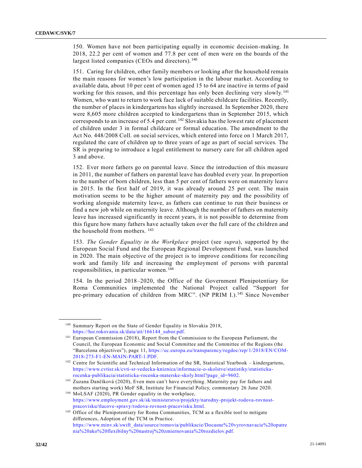150. Women have not been participating equally in economic decision-making. In 2018, 22.2 per cent of women and 77.8 per cent of men were on the boards of the largest listed companies (CEOs and directors).<sup>140</sup>

151. Caring for children, other family members or looking after the household remain the main reasons for women's low participation in the labour market. According to available data, about 10 per cent of women aged 15 to 64 are inactive in terms of paid working for this reason, and this percentage has only been declining very slowly.<sup>141</sup> Women, who want to return to work face lack of suitable childcare facilities. Recently, the number of places in kindergartens has slightly increased. In September 2020, there were 8,605 more children accepted to kindergartens than in September 2015, which corresponds to an increase of 5.4 per cent.<sup>142</sup> Slovakia has the lowest rate of placement of children under 3 in formal childcare or formal education. The amendment to the Act No. 448/2008 Coll. on social services, which entered into force on 1 March 2017, regulated the care of children up to three years of age as part of social services. The SR is preparing to introduce a legal entitlement to nursery care for all children aged 3 and above.

152. Ever more fathers go on parental leave. Since the introduction of this measure in 2011, the number of fathers on parental leave has doubled every year. In proportion to the number of born children, less than 5 per cent of fathers were on maternity leave in 2015. In the first half of 2019, it was already around 25 per cent. The main motivation seems to be the higher amount of maternity pay and the possibility of working alongside maternity leave, as fathers can continue to run their business or find a new job while on maternity leave. Although the number of fathers on maternity leave has increased significantly in recent years, it is not possible to determine from this figure how many fathers have actually taken over the full care of the children and the household from mothers.  $^{143}$ 

153. *The Gender Equality in the Workplace* project (see *supra*), supported by the European Social Fund and the European Regional Development Fund, was launched in 2020. The main objective of the project is to improve conditions for reconciling work and family life and increasing the employment of persons with parental responsibilities, in particular women. <sup>144</sup>

154. In the period 2018–2020, the Office of the Government Plenipotentiary for Roma Communities implemented the National Project called "Support for pre-primary education of children from MRC". (NP PRIM I.).<sup>145</sup> Since November

<sup>&</sup>lt;sup>140</sup> Summary Report on the State of Gender Equality in Slovakia 2018, [https://hsr.rokovania.sk/data/att/166144\\_subor.pdf.](https://hsr.rokovania.sk/data/att/166144_subor.pdf)

<sup>141</sup> European Commission (2018), Report from the Commission to the European Parliament, the Council, the European Economic and Social Committee and the Committee of the Regions (the "Barcelona objectives"), page 11, [https://ec.europa.eu/transparency/regdoc/rep/1/2018/EN/COM-](https://ec.europa.eu/transparency/regdoc/rep/1/2018/EN/COM-2018-273-F1-EN-MAIN-PART-1.PDF)[2018-273-F1-EN-MAIN-PART-1.PDF.](https://ec.europa.eu/transparency/regdoc/rep/1/2018/EN/COM-2018-273-F1-EN-MAIN-PART-1.PDF)

<sup>&</sup>lt;sup>142</sup> Centre for Scientific and Technical Information of the SR, Statistical Yearbook – kindergartens, [https://www.cvtisr.sk/cvti-sr-vedecka-kniznica/informacie-o-skolstve/statistiky/statisticka](https://www.cvtisr.sk/cvti-sr-vedecka-kniznica/informacie-o-skolstve/statistiky/statisticka-rocenka-publikacia/statisticka-rocenka-materske-skoly.html?page_id=9602)[rocenka-publikacia/statisticka-rocenka-materske-skoly.html?page\\_id=9602.](https://www.cvtisr.sk/cvti-sr-vedecka-kniznica/informacie-o-skolstve/statistiky/statisticka-rocenka-publikacia/statisticka-rocenka-materske-skoly.html?page_id=9602)

<sup>143</sup> Zuzana Dančíková (2020), Even men can't have everything. Maternity pay for fathers and mothers starting work) MoF SR, Institute for Financial Policy, commentary 26 June 2020.

<sup>144</sup> MoLSAF (2020), PR Gender equality in the workplace, [https://www.employment.gov.sk/sk/ministerstvo/projekty/narodny-projekt-rodova-rovnost](https://www.employment.gov.sk/sk/ministerstvo/projekty/narodny-projekt-rodova-rovnost-pracovisku/tlacove-spravy/rodova-rovnost-pracovisku.html)[pracovisku/tlacove-spravy/rodova-rovnost-pracovisku.html.](https://www.employment.gov.sk/sk/ministerstvo/projekty/narodny-projekt-rodova-rovnost-pracovisku/tlacove-spravy/rodova-rovnost-pracovisku.html)

<sup>&</sup>lt;sup>145</sup> Office of the Plenipotentiary for Roma Communities, TCM as a flexible tool to mitigate differences, Adoption of the TCM in Practice. [https://www.minv.sk/swift\\_data/source/romovia/publikacie/Docasne%20vyrovnavacie%20opatre](https://www.minv.sk/swift_data/source/romovia/publikacie/Docasne%20vyrovnavacie%20opatrenia%20ako%20flexibilny%20nastroj%20zmiernovania%20rozdielov.pdf) [nia%20ako%20flexibilny%20nastroj%20zmiernovania%20rozdielov.pdf.](https://www.minv.sk/swift_data/source/romovia/publikacie/Docasne%20vyrovnavacie%20opatrenia%20ako%20flexibilny%20nastroj%20zmiernovania%20rozdielov.pdf)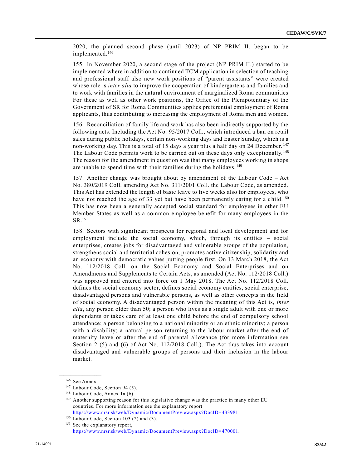2020, the planned second phase (until 2023) of NP PRIM II. began to be implemented.<sup>146</sup>

155. In November 2020, a second stage of the project (NP PRIM II.) started to be implemented where in addition to continued TCM application in selection of teaching and professional staff also new work positions of "parent assistants" were created whose role is *inter alia* to improve the cooperation of kindergartens and families and to work with families in the natural environment of marginalized Roma communities For these as well as other work positions, the Office of the Plenipotentiary of the Government of SR for Roma Communities applies preferential employment of Roma applicants, thus contributing to increasing the employment of Roma men and women.

156. Reconciliation of family life and work has also been indirectly supported by the following acts. Including the Act No. 95/2017 Coll., which introduced a ban on retail sales during public holidays, certain non-working days and Easter Sunday, which is a non-working day. This is a total of 15 days a year plus a half day on 24 December.<sup>147</sup> The Labour Code permits work to be carried out on these days only exceptionally.<sup>148</sup> The reason for the amendment in question was that many employees working in shops are unable to spend time with their families during the holidays.<sup>149</sup>

157. Another change was brought about by amendment of the Labour Code – Act No. 380/2019 Coll. amending Act No. 311/2001 Coll. the Labour Code, as amended. This Act has extended the length of basic leave to five weeks also for employees, who have not reached the age of 33 yet but have been permanently caring for a child.<sup>150</sup> This has now been a generally accepted social standard for employees in other EU Member States as well as a common employee benefit for many employees in the SR.<sup>151</sup>

158. Sectors with significant prospects for regional and local development and for employment include the social economy, which, through its entities – social enterprises, creates jobs for disadvantaged and vulnerable groups of the population, strengthens social and territorial cohesion, promotes active citizenship, solidarity and an economy with democratic values putting people first. On 13 March 2018, the Act No. 112/2018 Coll. on the Social Economy and Social Enterprises and on Amendments and Supplements to Certain Acts, as amended (Act No. 112/2018 Coll.) was approved and entered into force on 1 May 2018. The Act No. 112/2018 Coll. defines the social economy sector, defines social economy entities, social enterprise, disadvantaged persons and vulnerable persons, as well as other concepts in the field of social economy. A disadvantaged person within the meaning of this Act is, *inter alia*, any person older than 50; a person who lives as a single adult with one or more dependants or takes care of at least one child before the end of compulsory school attendance; a person belonging to a national minority or an ethnic minority; a person with a disability; a natural person returning to the labour market after the end of maternity leave or after the end of parental allowance (for more information see Section 2 (5) and (6) of Act No. 112/2018 Coll.). The Act thus takes into account disadvantaged and vulnerable groups of persons and their inclusion in the labour market.

**\_\_\_\_\_\_\_\_\_\_\_\_\_\_\_\_\_\_** <sup>146</sup> See Annex.

<sup>&</sup>lt;sup>147</sup> Labour Code, Section 94 (5).

<sup>&</sup>lt;sup>148</sup> Labour Code, Annex 1a (6).

<sup>149</sup> Another supporting reason for this legislative change was the practice in many other EU countries. For more information see the explanatory report [https://www.nrsr.sk/web/Dynamic/DocumentPreview.aspx?DocID=433981.](https://www.nrsr.sk/web/Dynamic/DocumentPreview.aspx?DocID=433981)

<sup>&</sup>lt;sup>150</sup> Labour Code, Section 103 (2) and (3).

<sup>&</sup>lt;sup>151</sup> See the explanatory report,

[https://www.nrsr.sk/web/Dynamic/DocumentPreview.aspx?DocID=470001.](https://www.nrsr.sk/web/Dynamic/DocumentPreview.aspx?DocID=470001)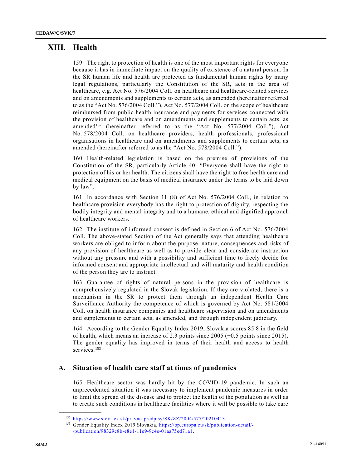# **XIII. Health**

159. The right to protection of health is one of the most important rights for everyone because it has in immediate impact on the quality of existence of a natural person. In the SR human life and health are protected as fundamental human rights by many legal regulations, particularly the Constitution of the SR, acts in the area of healthcare, e.g. Act No. 576/2004 Coll. on healthcare and healthcare-related services and on amendments and supplements to certain acts, as amended (hereinafter referred to as the "Act No. 576/2004 Coll."), Act No. 577/2004 Coll. on the scope of healthcare reimbursed from public health insurance and payments for services connected with the provision of healthcare and on amendments and supplements to certain acts, as amended<sup>152</sup> (hereinafter referred to as the "Act No. 577/2004 Coll."), Act No. 578/2004 Coll. on healthcare providers, health professionals, professional organisations in healthcare and on amendments and supplements to certain acts, as amended (hereinafter referred to as the "Act No. 578/2004 Coll.").

160. Health-related legislation is based on the premise of provisions of the Constitution of the SR, particularly Article 40: "Everyone shall have the right to protection of his or her health. The citizens shall have the right to free health care and medical equipment on the basis of medical insurance under the terms to be laid down by law".

161. In accordance with Section 11 (8) of Act No. 576/2004 Coll., in relation to healthcare provision everybody has the right to protection of dignity, respecting the bodily integrity and mental integrity and to a humane, ethical and dignified appro ach of healthcare workers.

162. The institute of informed consent is defined in Section 6 of Act No. 576/2004 Coll. The above-stated Section of the Act generally says that attending healthcare workers are obliged to inform about the purpose, nature, consequences and risks of any provision of healthcare as well as to provide clear and considerate instruction without any pressure and with a possibility and sufficient time to freely decide for informed consent and appropriate intellectual and will maturity and health condition of the person they are to instruct.

163. Guarantee of rights of natural persons in the provision of healthcare is comprehensively regulated in the Slovak legislation. If they are violated, there is a mechanism in the SR to protect them through an independent Health Care Surveillance Authority the competence of which is governed by Act No. 581/2004 Coll. on health insurance companies and healthcare supervision and on amendments and supplements to certain acts, as amended, and through independent judiciary.

164. According to the Gender Equality Index 2019, Slovakia scores 85.8 in the field of health, which means an increase of 2.3 points since 2005 (+0.5 points since 2015). The gender equality has improved in terms of their health and access to health services.<sup>153</sup>

### **A. Situation of health care staff at times of pandemics**

165. Healthcare sector was hardly hit by the COVID-19 pandemic. In such an unprecedented situation it was necessary to implement pandemic measures in order to limit the spread of the disease and to protect the health of the population as well as to create such conditions in healthcare facilities where it will be possible to take care

<sup>152</sup> [https://www.slov-lex.sk/pravne-predpisy/SK/ZZ/2004/577/20210413.](https://www.slov-lex.sk/pravne-predpisy/SK/ZZ/2004/577/20210413)

<sup>&</sup>lt;sup>153</sup> Gender Equality Index 2019 Slovakia, [https://op.europa.eu/sk/publication-detail/-](https://op.europa.eu/sk/publication-detail/-/publication/98329c8b-e8e1-11e9-9c4e-01aa75ed71a1) [/publication/98329c8b-e8e1-11e9-9c4e-01aa75ed71a1.](https://op.europa.eu/sk/publication-detail/-/publication/98329c8b-e8e1-11e9-9c4e-01aa75ed71a1)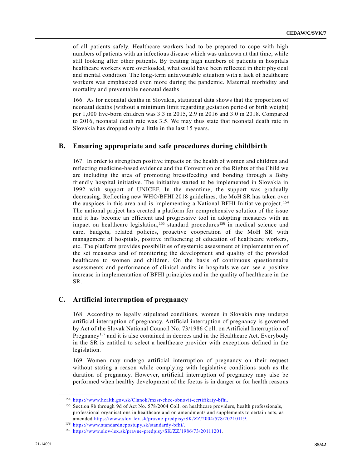of all patients safely. Healthcare workers had to be prepared to cope with high numbers of patients with an infectious disease which was unknown at that time, while still looking after other patients. By treating high numbers of patients in hospitals healthcare workers were overloaded, what could have been reflected in their physical and mental condition. The long-term unfavourable situation with a lack of healthcare workers was emphasized even more during the pandemic. Maternal morbidity and mortality and preventable neonatal deaths

166. As for neonatal deaths in Slovakia, statistical data shows that the proportion of neonatal deaths (without a minimum limit regarding gestation period or birth weight) per 1,000 live-born children was 3.3 in 2015, 2.9 in 2016 and 3.0 in 2018. Compared to 2016, neonatal death rate was 3.5. We may thus state that neonatal death rate in Slovakia has dropped only a little in the last 15 years.

### **B. Ensuring appropriate and safe procedures during childbirth**

167. In order to strengthen positive impacts on the health of women and children and reflecting medicine-based evidence and the Convention on the Rights of the Child we are including the area of promoting breastfeeding and bonding through a Baby friendly hospital initiative. The initiative started to be implemented in Slovakia in 1992 with support of UNICEF. In the meantime, the support was gradually decreasing. Reflecting new WHO/BFHI 2018 guidelines, the MoH SR has taken over the auspices in this area and is implementing a National BFHI Initiative project. <sup>154</sup> The national project has created a platform for comprehensive solution of the issue and it has become an efficient and progressive tool in adopting measures with an impact on healthcare legislation,<sup>155</sup> standard procedures<sup>156</sup> in medical science and care, budgets, related policies, proactive cooperation of the MoH SR with management of hospitals, positive influencing of education of healthcare workers, etc. The platform provides possibilities of systemic assessment of implementation of the set measures and of monitoring the development and quality of the provided healthcare to women and children. On the basis of continuous questionnaire assessments and performance of clinical audits in hospitals we can see a positive increase in implementation of BFHI principles and in the quality of healthcare in the SR.

### **C. Artificial interruption of pregnancy**

168. According to legally stipulated conditions, women in Slovakia may undergo artificial interruption of pregnancy. Artificial interruption of pregnancy is governed by Act of the Slovak National Council No. 73/1986 Coll. on Artificial Interruption of Pregnancy<sup>157</sup> and it is also contained in decrees and in the Healthcare Act. Everybody in the SR is entitled to select a healthcare provider with exceptions defined in the legislation.

169. Women may undergo artificial interruption of pregnancy on their request without stating a reason while complying with legislative conditions such as the duration of pregnancy. However, artificial interruption of pregnancy may also be performed when healthy development of the foetus is in danger or for health reasons

<sup>154</sup> [https://www.health.gov.sk/Clanok?mzsr-chce-obnovit-certifikaty-bfhi.](https://www.health.gov.sk/Clanok?mzsr-chce-obnovit-certifikaty-bfhi)

<sup>&</sup>lt;sup>155</sup> Section 9b through 9d of Act No. 578/2004 Coll. on healthcare providers, health professionals, professional organisations in healthcare and on amendments and supplements to certain acts, as amended [https://www.slov-lex.sk/pravne-predpisy/SK/ZZ/2004/578/20210119.](https://www.slov-lex.sk/pravne-predpisy/SK/ZZ/2004/578/20210119)

<sup>156</sup> [https://www.standardnepostupy.sk/standardy-bfhi/.](https://www.standardnepostupy.sk/standardy-bfhi/)

<sup>157</sup> [https://www.slov-lex.sk/pravne-predpisy/SK/ZZ/1986/73/20111201.](https://www.slov-lex.sk/pravne-predpisy/SK/ZZ/1986/73/20111201)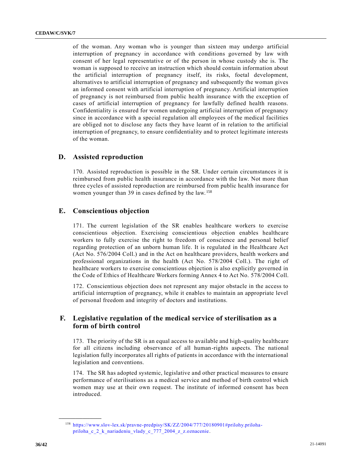of the woman. Any woman who is younger than sixteen may undergo artificial interruption of pregnancy in accordance with conditions governed by law with consent of her legal representative or of the person in whose custody she is. The woman is supposed to receive an instruction which should contain information about the artificial interruption of pregnancy itself, its risks, foetal development, alternatives to artificial interruption of pregnancy and subsequently the woman gives an informed consent with artificial interruption of pregnancy. Artificial interruption of pregnancy is not reimbursed from public health insurance with the exception of cases of artificial interruption of pregnancy for lawfully defined health reasons. Confidentiality is ensured for women undergoing artificial interruption of pregnancy since in accordance with a special regulation all employees of the medical facilities are obliged not to disclose any facts they have learnt of in relation to the artificial interruption of pregnancy, to ensure confidentiality and to protect legitimate interests of the woman.

#### **D. Assisted reproduction**

170. Assisted reproduction is possible in the SR. Under certain circumstances it is reimbursed from public health insurance in accordance with the law. Not more than three cycles of assisted reproduction are reimbursed from public health insurance for women younger than 39 in cases defined by the law. <sup>158</sup>

### **E. Conscientious objection**

171. The current legislation of the SR enables healthcare workers to exercise conscientious objection. Exercising conscientious objection enables healthcare workers to fully exercise the right to freedom of conscience and personal belief regarding protection of an unborn human life. It is regulated in the Healthcare Act (Act No. 576/2004 Coll.) and in the Act on healthcare providers, health workers and professional organizations in the health (Act No. 578/2004 Coll.). The right of healthcare workers to exercise conscientious objection is also explicitly governed in the Code of Ethics of Healthcare Workers forming Annex 4 to Act No. 578/2004 Coll.

172. Conscientious objection does not represent any major obstacle in the access to artificial interruption of pregnancy, while it enables to maintain an appropriate level of personal freedom and integrity of doctors and institutions.

### **F. Legislative regulation of the medical service of sterilisation as a form of birth control**

173. The priority of the SR is an equal access to available and high-quality healthcare for all citizens including observance of all human-rights aspects. The national legislation fully incorporates all rights of patients in accordance with the international legislation and conventions.

174. The SR has adopted systemic, legislative and other practical measures to ensure performance of sterilisations as a medical service and method of birth control which women may use at their own request. The institute of informed consent has been introduced.

<sup>158</sup> [https://www.slov-lex.sk/pravne-predpisy/SK/ZZ/2004/777/20180901#prilohy.priloha](https://www.slov-lex.sk/pravne-predpisy/SK/ZZ/2004/777/20180901#prilohy.priloha-priloha_c_2_k_nariadeniu_vlady_c_777_2004_z_z.oznacenie)[priloha\\_c\\_2\\_k\\_nariadeniu\\_vlady\\_c\\_777\\_2004\\_z\\_z.oznacenie.](https://www.slov-lex.sk/pravne-predpisy/SK/ZZ/2004/777/20180901#prilohy.priloha-priloha_c_2_k_nariadeniu_vlady_c_777_2004_z_z.oznacenie)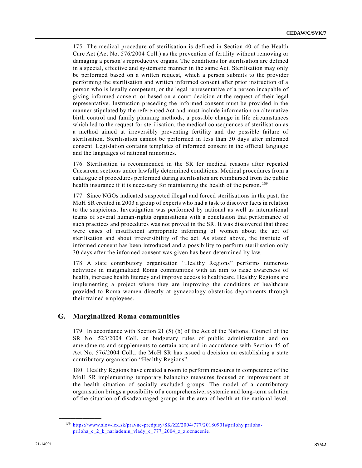175. The medical procedure of sterilisation is defined in Section 40 of the Health Care Act (Act No. 576/2004 Coll.) as the prevention of fertility without removing or damaging a person's reproductive organs. The conditions for sterilisation are defined in a special, effective and systematic manner in the same Act. Sterilisation may only be performed based on a written request, which a person submits to the provider performing the sterilisation and written informed consent after prior instruction of a person who is legally competent, or the legal representative of a person incapable of giving informed consent, or based on a court decision at the request of their legal representative. Instruction preceding the informed consent must be provided in the manner stipulated by the referenced Act and must include information on alternative birth control and family planning methods, a possible change in life circumstances which led to the request for sterilisation, the medical consequences of sterilisation as a method aimed at irreversibly preventing fertility and the possible failure of sterilisation. Sterilisation cannot be performed in less than 30 days after informed consent. Legislation contains templates of informed consent in the official language and the languages of national minorities.

176. Sterilisation is recommended in the SR for medical reasons after repeated Caesarean sections under lawfully determined conditions. Medical procedures from a catalogue of procedures performed during sterilisation are reimbursed from the public health insurance if it is necessary for maintaining the health of the person.<sup>159</sup>

177. Since NGOs indicated suspected illegal and forced sterilisations in the past, the MoH SR created in 2003 a group of experts who had a task to discover facts in relation to the suspicions. Investigation was performed by national as well as international teams of several human-rights organisations with a conclusion that performance of such practices and procedures was not proved in the SR. It was discovered that those were cases of insufficient appropriate informing of women about the act of sterilisation and about irreversibility of the act. As stated above, the institute of informed consent has been introduced and a possibility to perform sterilisation only 30 days after the informed consent was given has been determined by law.

178. A state contributory organisation "Healthy Regions" performs numerous activities in marginalized Roma communities with an aim to raise awareness of health, increase health literacy and improve access to healthcare. Healthy Regions are implementing a project where they are improving the conditions of healthcare provided to Roma women directly at gynaecology-obstetrics departments through their trained employees.

### **G. Marginalized Roma communities**

179. In accordance with Section 21 (5) (b) of the Act of the National Council of the SR No. 523/2004 Coll. on budgetary rules of public administration and on amendments and supplements to certain acts and in accordance with Section 45 of Act No. 576/2004 Coll., the MoH SR has issued a decision on establishing a state contributory organisation "Healthy Regions".

180. Healthy Regions have created a room to perform measures in competence of the MoH SR implementing temporary balancing measures focused on improvement of the health situation of socially excluded groups. The model of a contributory organisation brings a possibility of a comprehensive, systemic and long-term solution of the situation of disadvantaged groups in the area of health at the national level.

<sup>159</sup> [https://www.slov-lex.sk/pravne-predpisy/SK/ZZ/2004/777/20180901#prilohy.priloha](https://www.slov-lex.sk/pravne-predpisy/SK/ZZ/2004/777/20180901#prilohy.priloha-priloha_c_2_k_nariadeniu_vlady_c_777_2004_z_z.oznacenie)[priloha\\_c\\_2\\_k\\_nariadeniu\\_vlady\\_c\\_777\\_2004\\_z\\_z.oznacenie.](https://www.slov-lex.sk/pravne-predpisy/SK/ZZ/2004/777/20180901#prilohy.priloha-priloha_c_2_k_nariadeniu_vlady_c_777_2004_z_z.oznacenie)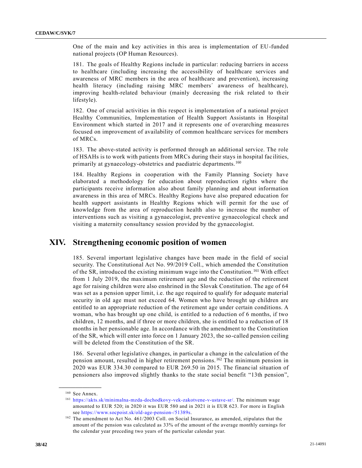One of the main and key activities in this area is implementation of EU-funded national projects (OP Human Resources).

181. The goals of Healthy Regions include in particular: reducing barriers in access to healthcare (including increasing the accessibility of healthcare services and awareness of MRC members in the area of healthcare and prevention), increasing health literacy (including raising MRC members´ awareness of healthcare), improving health-related behaviour (mainly decreasing the risk related to their lifestyle).

182. One of crucial activities in this respect is implementation of a national project Healthy Communities, Implementation of Health Support Assistants in Hospital Environment which started in 2017 and it represents one of overarching measures focused on improvement of availability of common healthcare services for members of MRCs.

183. The above-stated activity is performed through an additional service. The role of HSAHs is to work with patients from MRCs during their stays in hospital facilities, primarily at gynaecology-obstetrics and paediatric departments.<sup>160</sup>

184. Healthy Regions in cooperation with the Family Planning Society have elaborated a methodology for education about reproduction rights where the participants receive information also about family planning and about information awareness in this area of MRCs. Healthy Regions have also prepared education for health support assistants in Healthy Regions which will permit for the use of knowledge from the area of reproduction health also to increase the number of interventions such as visiting a gynaecologist, preventive gynaecological check and visiting a maternity consultancy session provided by the gynaecologist.

# **XIV. Strengthening economic position of women**

185. Several important legislative changes have been made in the field of social security. The Constitutional Act No. 99/2019 Coll., which amended the Constitution of the SR, introduced the existing minimum wage into the Constitution. <sup>161</sup> With effect from 1 July 2019, the maximum retirement age and the reduction of the retirement age for raising children were also enshrined in the Slovak Constitution. The age of 64 was set as a pension upper limit, i.e. the age required to qualify for adequate material security in old age must not exceed 64. Women who have brought up children are entitled to an appropriate reduction of the retirement age under certain conditions. A woman, who has brought up one child, is entitled to a reduction of 6 months, if two children, 12 months, and if three or more children, she is entitled to a reduction of 18 months in her pensionable age. In accordance with the amendment to the Constitution of the SR, which will enter into force on 1 January 2023, the so-called pension ceiling will be deleted from the Constitution of the SR.

186. Several other legislative changes, in particular a change in the calculation of the pension amount, resulted in higher retirement pensions. <sup>162</sup> The minimum pension in 2020 was EUR 334.30 compared to EUR 269.50 in 2015. The financ ial situation of pensioners also improved slightly thanks to the state social benefit "13th pension",

**\_\_\_\_\_\_\_\_\_\_\_\_\_\_\_\_\_\_** <sup>160</sup> See Annex.

<sup>161</sup> [https://akts.sk/minimalna-mzda-dochodkovy-vek-zakotvene-v-ustave-sr/.](https://akts.sk/minimalna-mzda-dochodkovy-vek-zakotvene-v-ustave-sr/) The minimum wage amounted to EUR 520; in 2020 it was EUR 580 and in 2021 it is EUR 623. For more in English see [https://www.socpoist.sk/old-age-pension-/51389s.](https://www.socpoist.sk/old-age-pension-/51389s)

<sup>162</sup> The amendment to Act No. 461/2003 Coll. on Social Insurance, as amended, stipulates that the amount of the pension was calculated as 33% of the amount of the average monthly earnings for the calendar year preceding two years of the particular calendar year.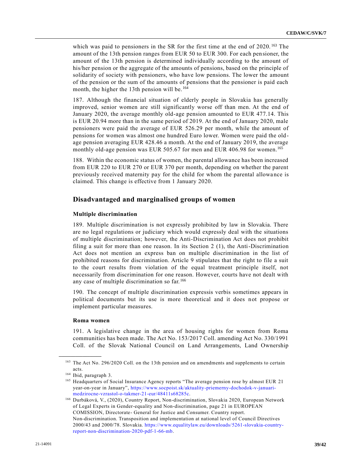which was paid to pensioners in the SR for the first time at the end of 2020. <sup>163</sup> The amount of the 13th pension ranges from EUR 50 to EUR 300. For each pensioner, the amount of the 13th pension is determined individually according to the amount of his/her pension or the aggregate of the amounts of pensions, based on the principle of solidarity of society with pensioners, who have low pensions. The lower the amount of the pension or the sum of the amounts of pensions that the pensioner is paid each month, the higher the 13th pension will be.<sup>164</sup>

187. Although the financial situation of elderly people in Slovakia has generally improved, senior women are still significantly worse off than men. At the end of January 2020, the average monthly old-age pension amounted to EUR 477.14. This is EUR 20.94 more than in the same period of 2019. At the end of January 2020, male pensioners were paid the average of EUR 526.29 per month, while the amount of pensions for women was almost one hundred Euro lower. Women were paid the oldage pension averaging EUR 428.46 a month. At the end of January 2019, the average monthly old-age pension was EUR 505.67 for men and EUR 406.98 for women.<sup>165</sup>

188. Within the economic status of women, the parental allowance has been increased from EUR 220 to EUR 270 or EUR 370 per month, depending on whether the parent previously received maternity pay for the child for whom the parental allowa nce is claimed. This change is effective from 1 January 2020.

### **Disadvantaged and marginalised groups of women**

#### **Multiple discrimination**

189. Multiple discrimination is not expressly prohibited by law in Slovakia. There are no legal regulations or judiciary which would expressly deal with the situations of multiple discrimination; however, the Anti-Discrimination Act does not prohibit filing a suit for more than one reason. In its Section 2 (1), the Anti-Discrimination Act does not mention an express ban on multiple discrimination in the list of prohibited reasons for discrimination. Article 9 stipulates that the right to file a suit to the court results from violation of the equal treatment principle itself, not necessarily from discrimination for one reason. However, courts have not dealt with any case of multiple discrimination so far. <sup>166</sup>

190. The concept of multiple discrimination expressis verbis sometimes appears in political documents but its use is more theoretical and it does not propose or implement particular measures.

#### **Roma women**

191. A legislative change in the area of housing rights for women from Roma communities has been made. The Act No. 153/2017 Coll. amending Act No. 330/1991 Coll. of the Slovak National Council on Land Arrangements, Land Ownership

<sup>&</sup>lt;sup>163</sup> The Act No. 296/2020 Coll. on the 13th pension and on amendments and supplements to certain acts.

<sup>164</sup> Ibid, paragraph 3.

<sup>&</sup>lt;sup>165</sup> Headquarters of Social Insurance Agency reports "The average pension rose by almost EUR 21 year-on-year in January", [https://www.socpoist.sk/aktuality-priemerny-dochodok-v-januari](https://www.socpoist.sk/aktuality-priemerny-dochodok-v-januari-medzirocne-vzrastol-o-takmer-21-eur/48411s68285c)[medzirocne-vzrastol-o-takmer-21-eur/48411s68285c.](https://www.socpoist.sk/aktuality-priemerny-dochodok-v-januari-medzirocne-vzrastol-o-takmer-21-eur/48411s68285c)

<sup>166</sup> Durbáková, V., (2020), Country Report, Non-discrimination, Slovakia 2020, European Network of Legal Experts in Gender-equality and Non-discrimination, page 21 in EUROPEAN COMISSION, Directorate- General for Justice and Consumer. Country report. Non-discrimination. Transposition and implementation at national level of Council Directives 2000/43 and 2000/78. Slovakia. [https://www.equalitylaw.eu/downloads/5261-slovakia-country](https://www.equalitylaw.eu/downloads/5261-slovakia-country-report-non-discrimination-2020-pdf-1-66-mb)[report-non-discrimination-2020-pdf-1-66-mb.](https://www.equalitylaw.eu/downloads/5261-slovakia-country-report-non-discrimination-2020-pdf-1-66-mb)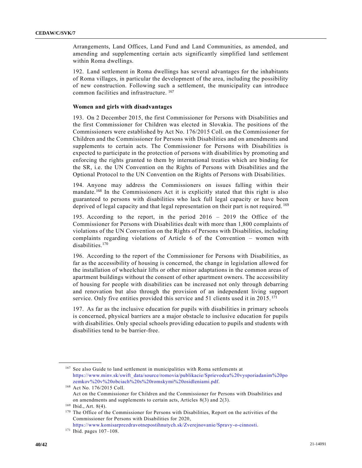Arrangements, Land Offices, Land Fund and Land Communities, as amended, and amending and supplementing certain acts significantly simplified land settlement within Roma dwellings.

192. Land settlement in Roma dwellings has several advantages for the inhabitants of Roma villages, in particular the development of the area, including the possibility of new construction. Following such a settlement, the municipality can introduce common facilities and infrastructure. <sup>167</sup>

#### **Women and girls with disadvantages**

193. On 2 December 2015, the first Commissioner for Persons with Disabilities and the first Commissioner for Children was elected in Slovakia. The positions of the Commissioners were established by Act No. 176/2015 Coll. on the Commissioner for Children and the Commissioner for Persons with Disabilities and on amendments and supplements to certain acts. The Commissioner for Persons with Disabilities is expected to participate in the protection of persons with disabilities by promoting and enforcing the rights granted to them by international treaties which are binding for the SR, i.e. the UN Convention on the Rights of Persons with Disabilities and the Optional Protocol to the UN Convention on the Rights of Persons with Disabilities.

194. Anyone may address the Commissioners on issues falling within their mandate.<sup>168</sup> In the Commissioners Act it is explicitly stated that this right is also guaranteed to persons with disabilities who lack full legal capacity or have been deprived of legal capacity and that legal representation on their part is not required. <sup>169</sup>

195. According to the report, in the period 2016 – 2019 the Office of the Commissioner for Persons with Disabilities dealt with more than 1,800 complaints of violations of the UN Convention on the Rights of Persons with Disabilities, including complaints regarding violations of Article 6 of the Convention – women with disabilities.<sup>170</sup>

196. According to the report of the Commissioner for Persons with Disabilities, as far as the accessibility of housing is concerned, the change in legislation allowed for the installation of wheelchair lifts or other minor adaptations in the common areas of apartment buildings without the consent of other apartment owners. The accessibility of housing for people with disabilities can be increased not only through debarring and renovation but also through the provision of an independent living support service. Only five entities provided this service and 51 clients used it in 2015.<sup>171</sup>

197. As far as the inclusive education for pupils with disabilities in primary schools is concerned, physical barriers are a major obstacle to inclusive education for pupils with disabilities. Only special schools providing education to pupils and students with disabilities tend to be barrier-free.

<sup>167</sup> See also Guide to land settlement in municipalities with Roma settlements at [https://www.minv.sk/swift\\_data/source/romovia/publikacie/Sprievodca%20vysporiadanim%20po](https://www.minv.sk/swift_data/source/romovia/publikacie/Sprievodca%20vysporiadanim%20pozemkov%20v%20obciach%20s%20romskymi%20osidleniami.pdf) [zemkov%20v%20obciach%20s%20romskymi%20osidleniami.pdf.](https://www.minv.sk/swift_data/source/romovia/publikacie/Sprievodca%20vysporiadanim%20pozemkov%20v%20obciach%20s%20romskymi%20osidleniami.pdf)

<sup>168</sup> Act No. 176/2015 Coll. Act on the Commissioner for Children and the Commissioner for Persons with Disabilities and on amendments and supplements to certain acts, Articles 8(3) and 2(3).

<sup>169</sup> Ibid., Art. 8(4).

<sup>&</sup>lt;sup>170</sup> The Office of the Commissioner for Persons with Disabilities, Report on the activities of the Commissioner for Persons with Disabilities for 2020, [https://www.komisarprezdravotnepostihnutych.sk/Zverejnovanie/Spravy-o-cinnosti.](https://www.komisarprezdravotnepostihnutych.sk/Zverejnovanie/Spravy-o-cinnosti)

<sup>171</sup> Ibid. pages 107–108.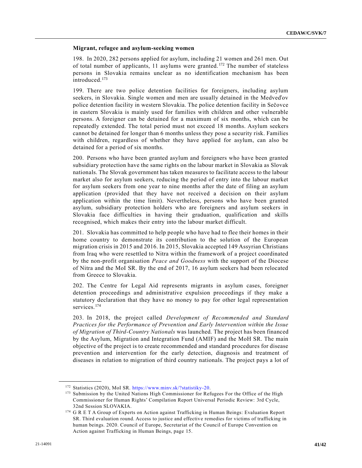#### **Migrant, refugee and asylum-seeking women**

198. In 2020, 282 persons applied for asylum, including 21 women and 261 men. Out of total number of applicants, 11 asylums were granted. <sup>172</sup> The number of stateless persons in Slovakia remains unclear as no identification mechanism has been introduced.<sup>173</sup>

199. There are two police detention facilities for foreigners, including asylum seekers, in Slovakia. Single women and men are usually detained in the Medveďov police detention facility in western Slovakia. The police detention facility in Sečovce in eastern Slovakia is mainly used for families with children and other vulnerable persons. A foreigner can be detained for a maximum of six months, which can be repeatedly extended. The total period must not exceed 18 months. Asylum seekers cannot be detained for longer than 6 months unless they pose a security risk. Families with children, regardless of whether they have applied for asylum, can also be detained for a period of six months.

200. Persons who have been granted asylum and foreigners who have been granted subsidiary protection have the same rights on the labour market in Slovakia as Slovak nationals. The Slovak government has taken measures to facilitate access to the labour market also for asylum seekers, reducing the period of entry into the labour market for asylum seekers from one year to nine months after the date of filing an asylum application (provided that they have not received a decision on their asylum application within the time limit). Nevertheless, persons who have been granted asylum, subsidiary protection holders who are foreigners and asylum seekers in Slovakia face difficulties in having their graduation, qualification and skills recognised, which makes their entry into the labour market difficult.

201. Slovakia has committed to help people who have had to flee their homes in their home country to demonstrate its contribution to the solution of the European migration crisis in 2015 and 2016. In 2015, Slovakia accepted 149 Assyrian Christians from Iraq who were resettled to Nitra within the framework of a project coordinated by the non-profit organisation *Peace and Goodness* with the support of the Diocese of Nitra and the MoI SR. By the end of 2017, 16 asylum seekers had been relocated from Greece to Slovakia.

202. The Centre for Legal Aid represents migrants in asylum cases, foreigner detention proceedings and administrative expulsion proceedings if they make a statutory declaration that they have no money to pay for other legal representation services.<sup>174</sup>

203. In 2018, the project called *Development of Recommended and Standard Practices for the Performance of Prevention and Early Intervention within the Issue of Migration of Third-Country Nationals* was launched*.* The project has been financed by the Asylum, Migration and Integration Fund (AMIF) and the MoH SR. The main objective of the project is to create recommended and standard procedures for disease prevention and intervention for the early detection, diagnosis and treatment of diseases in relation to migration of third country nationals. The project pays a lot of

<sup>172</sup> Statistics (2020), MoI SR. [https://www.minv.sk/?statistiky-20.](https://www.minv.sk/?statistiky-20) 

<sup>173</sup> Submission by the United Nations High Commissioner for Refugees For the Office of the High Commissioner for Human Rights' Compilation Report Universal Periodic Review: 3rd Cycle, 32nd Session SLOVAKIA.

<sup>174</sup> G R E T A Group of Experts on Action against Trafficking in Human Beings: Evaluation Report SR. Third evaluation round. Access to justice and effective remedies for victims of trafficking in human beings. 2020. Council of Europe, Secretariat of the Council of Europe Convention on Action against Trafficking in Human Beings, page 15.